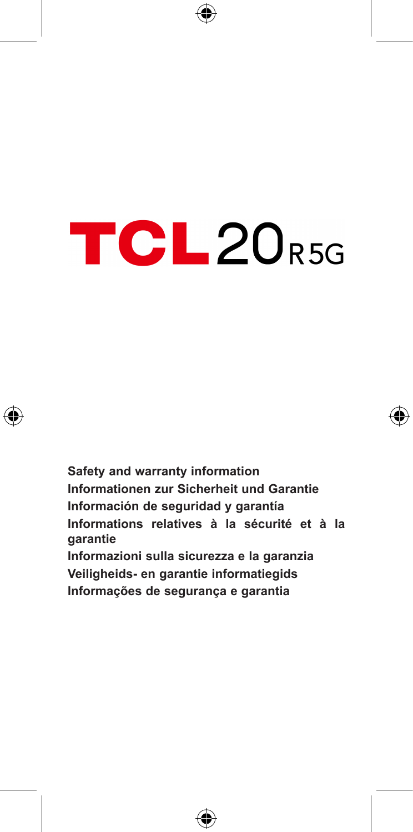# TCL20<sub>R5G</sub>



**Safety and warranty information Informationen zur Sicherheit und Garantie Información de seguridad y garantía Informations relatives à la sécurité et à la garantie Informazioni sulla sicurezza e la garanzia Veiligheids- en garantie informatiegids Informações de segurança e garantia**

⊕

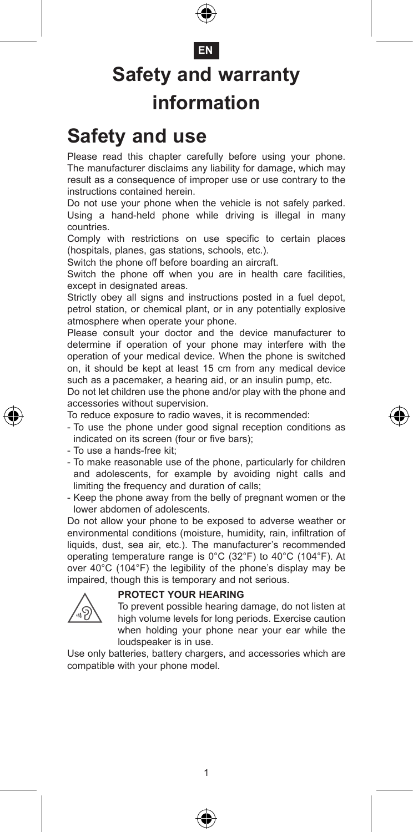#### **EN**

### **Safety and warranty information**

#### **Safety and use**

Please read this chapter carefully before using your phone. The manufacturer disclaims any liability for damage, which may result as a consequence of improper use or use contrary to the instructions contained herein.

Do not use your phone when the vehicle is not safely parked. Using a hand-held phone while driving is illegal in many countries.

Comply with restrictions on use specific to certain places (hospitals, planes, gas stations, schools, etc.).

Switch the phone off before boarding an aircraft.

Switch the phone off when you are in health care facilities, except in designated areas.

Strictly obey all signs and instructions posted in a fuel depot, petrol station, or chemical plant, or in any potentially explosive atmosphere when operate your phone.

Please consult your doctor and the device manufacturer to determine if operation of your phone may interfere with the operation of your medical device. When the phone is switched on, it should be kept at least 15 cm from any medical device such as a pacemaker, a hearing aid, or an insulin pump, etc.

Do not let children use the phone and/or play with the phone and accessories without supervision.

To reduce exposure to radio waves, it is recommended:

- To use the phone under good signal reception conditions as indicated on its screen (four or five bars);
- To use a hands-free kit;
- To make reasonable use of the phone, particularly for children and adolescents, for example by avoiding night calls and limiting the frequency and duration of calls;
- Keep the phone away from the belly of pregnant women or the lower abdomen of adolescents.

Do not allow your phone to be exposed to adverse weather or environmental conditions (moisture, humidity, rain, infiltration of liquids, dust, sea air, etc.). The manufacturer's recommended operating temperature range is 0°C (32°F) to 40°C (104°F). At over 40°C (104°F) the legibility of the phone's display may be impaired, though this is temporary and not serious.

#### **PROTECT YOUR HEARING**



 To prevent possible hearing damage, do not listen at high volume levels for long periods. Exercise caution when holding your phone near your ear while the loudspeaker is in use.

Use only batteries, battery chargers, and accessories which are compatible with your phone model.



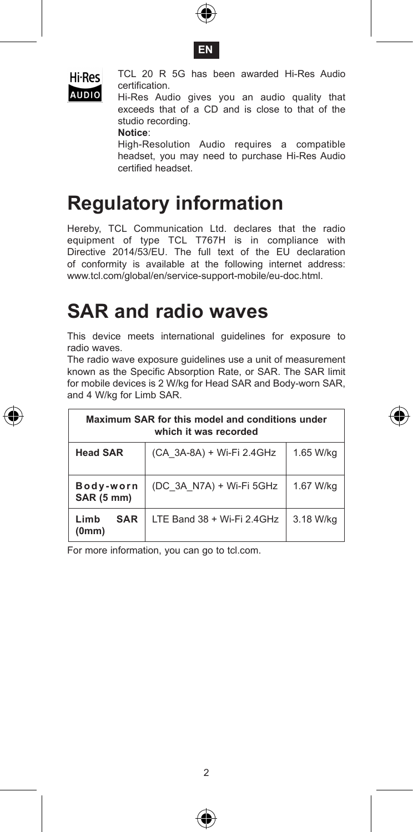





Hi-Res TCL 20 R 5G has been awarded Hi-Res Audio certification.

AUDIO Hi-Res Audio gives you an audio quality that exceeds that of a CD and is close to that of the studio recording.

**Notice**:

 High-Resolution Audio requires a compatible headset, you may need to purchase Hi-Res Audio certified headset.

### **Regulatory information**

Hereby, TCL Communication Ltd. declares that the radio equipment of type TCL T767H is in compliance with Directive 2014/53/EU. The full text of the EU declaration of conformity is available at the following internet address: www.tcl.com/global/en/service-support-mobile/eu-doc.html.

### **SAR and radio waves**

This device meets international guidelines for exposure to radio waves.

The radio wave exposure guidelines use a unit of measurement known as the Specific Absorption Rate, or SAR. The SAR limit for mobile devices is 2 W/kg for Head SAR and Body-worn SAR, and 4 W/kg for Limb SAR.

| Maximum SAR for this model and conditions under<br>which it was recorded |                            |           |  |  |  |  |
|--------------------------------------------------------------------------|----------------------------|-----------|--|--|--|--|
| <b>Head SAR</b>                                                          | (CA 3A-8A) + Wi-Fi 2.4GHz  | 1.65 W/ka |  |  |  |  |
| Body-worn<br><b>SAR (5 mm)</b>                                           | (DC 3A N7A) + Wi-Fi 5GHz   | 1.67 W/ka |  |  |  |  |
| I imh<br><b>SAR</b><br>(0mm)                                             | LTE Band 38 + Wi-Fi 2.4GHz | 3.18 W/kg |  |  |  |  |

For more information, you can go to tcl.com.



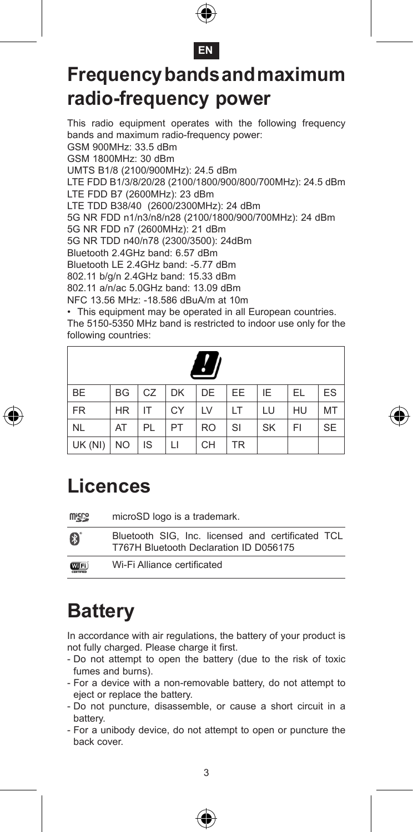



### **Frequency bands and maximum radio-frequency power**

This radio equipment operates with the following frequency bands and maximum radio-frequency power: GSM 900MHz: 33.5 dBm GSM 1800MHz: 30 dBm UMTS B1/8 (2100/900MHz): 24.5 dBm LTE FDD B1/3/8/20/28 (2100/1800/900/800/700MHz): 24.5 dBm LTE FDD B7 (2600MHz): 23 dBm LTE TDD B38/40 (2600/2300MHz): 24 dBm 5G NR FDD n1/n3/n8/n28 (2100/1800/900/700MHz): 24 dBm 5G NR FDD n7 (2600MHz): 21 dBm 5G NR TDD n40/n78 (2300/3500): 24dBm Bluetooth 2.4GHz band: 6.57 dBm Bluetooth LE 2.4GHz band: -5.77 dBm 802.11 b/g/n 2.4GHz band: 15.33 dBm 802.11 a/n/ac 5.0GHz band: 13.09 dBm NFC 13.56 MHz: -18.586 dBuA/m at 10m

• This equipment may be operated in all European countries. The 5150-5350 MHz band is restricted to indoor use only for the following countries:

| $\cdot$   |           |    |    |           |           |           |    |           |
|-----------|-----------|----|----|-----------|-----------|-----------|----|-----------|
| <b>BE</b> | <b>BG</b> | CZ | DK | DE        | EE        | ΙE        | EL | ES        |
| <b>FR</b> | <b>HR</b> | IT | CY | LV        | LT        | LU        | HU | MT        |
| <b>NL</b> | AT        | PL | PT | <b>RO</b> | SI        | <b>SK</b> | FI | <b>SE</b> |
| UK (NI)   | <b>NO</b> | IS | LI | CН        | <b>TR</b> |           |    |           |



| <b>Wicks</b>  | microSD logo is a trademark.                                                                |
|---------------|---------------------------------------------------------------------------------------------|
| Ø             | Bluetooth SIG. Inc. licensed and certificated TCL<br>T767H Bluetooth Declaration ID D056175 |
| <b>COTFI)</b> | Wi-Fi Alliance certificated                                                                 |

### **Battery**

In accordance with air regulations, the battery of your product is not fully charged. Please charge it first.

- Do not attempt to open the battery (due to the risk of toxic fumes and burns).
- For a device with a non-removable battery, do not attempt to eject or replace the battery.
- Do not puncture, disassemble, or cause a short circuit in a battery.
- For a unibody device, do not attempt to open or puncture the back cover.





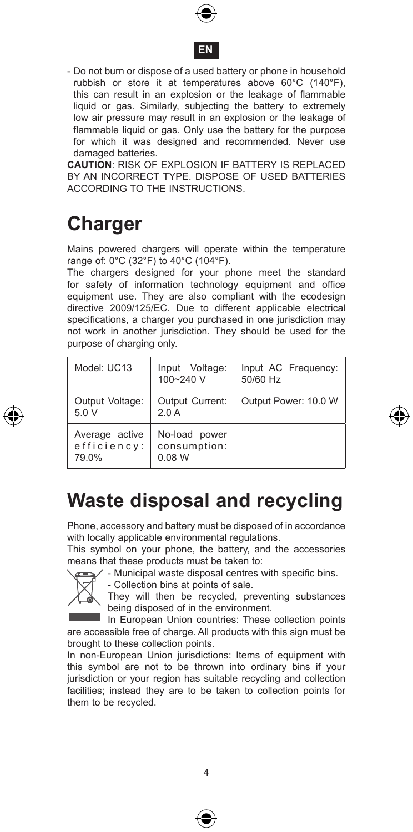



- Do not burn or dispose of a used battery or phone in household rubbish or store it at temperatures above 60°C (140°F), this can result in an explosion or the leakage of flammable liquid or gas. Similarly, subjecting the battery to extremely low air pressure may result in an explosion or the leakage of flammable liquid or gas. Only use the battery for the purpose for which it was designed and recommended. Never use damaged batteries.

**CAUTION**: RISK OF EXPLOSION IF BATTERY IS REPLACED BY AN INCORRECT TYPE. DISPOSE OF USED BATTERIES ACCORDING TO THE INSTRUCTIONS.

### **Charger**

Mains powered chargers will operate within the temperature range of: 0°C (32°F) to 40°C (104°F).

The chargers designed for your phone meet the standard for safety of information technology equipment and office equipment use. They are also compliant with the ecodesign directive 2009/125/EC. Due to different applicable electrical specifications, a charger you purchased in one jurisdiction may not work in another jurisdiction. They should be used for the purpose of charging only.

| Model: UC13                            | Input Voltage:<br>100~240 V             | Input AC Frequency:<br>50/60 Hz |
|----------------------------------------|-----------------------------------------|---------------------------------|
| Output Voltage:<br>5.0V                | Output Current:<br>2.0A                 | Output Power: 10.0 W            |
| Average active<br>efficiency:<br>79.0% | No-load power<br>consumption:<br>0.08 W |                                 |

#### **Waste disposal and recycling**

Phone, accessory and battery must be disposed of in accordance with locally applicable environmental regulations.

This symbol on your phone, the battery, and the accessories means that these products must be taken to:





They will then be recycled, preventing substances being disposed of in the environment.

In European Union countries: These collection points are accessible free of charge. All products with this sign must be brought to these collection points.

In non-European Union jurisdictions: Items of equipment with this symbol are not to be thrown into ordinary bins if your jurisdiction or your region has suitable recycling and collection facilities; instead they are to be taken to collection points for them to be recycled.





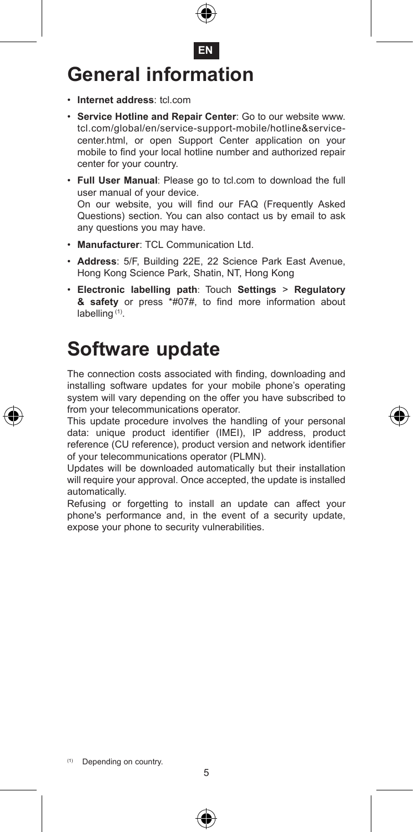

- • **Internet address**: tcl.com
- • **Service Hotline and Repair Center**: Go to our website www. tcl.com/global/en/service-support-mobile/hotline&servicecenter.html, or open Support Center application on your mobile to find your local hotline number and authorized repair center for your country.
- • **Full User Manual**: Please go to tcl.com to download the full user manual of your device. On our website, you will find our FAQ (Frequently Asked Questions) section. You can also contact us by email to ask any questions you may have.
- • **Manufacturer**: TCL Communication Ltd.
- • **Address**: 5/F, Building 22E, 22 Science Park East Avenue, Hong Kong Science Park, Shatin, NT, Hong Kong
- • **Electronic labelling path**: Touch **Settings** > **Regulatory & safety** or press \*#07#, to find more information about labelling (1).

#### **Software update**

The connection costs associated with finding, downloading and installing software updates for your mobile phone's operating system will vary depending on the offer you have subscribed to from your telecommunications operator.

This update procedure involves the handling of your personal data: unique product identifier (IMEI), IP address, product reference (CU reference), product version and network identifier of your telecommunications operator (PLMN).

Updates will be downloaded automatically but their installation will require your approval. Once accepted, the update is installed automatically.

Refusing or forgetting to install an update can affect your phone's performance and, in the event of a security update, expose your phone to security vulnerabilities.





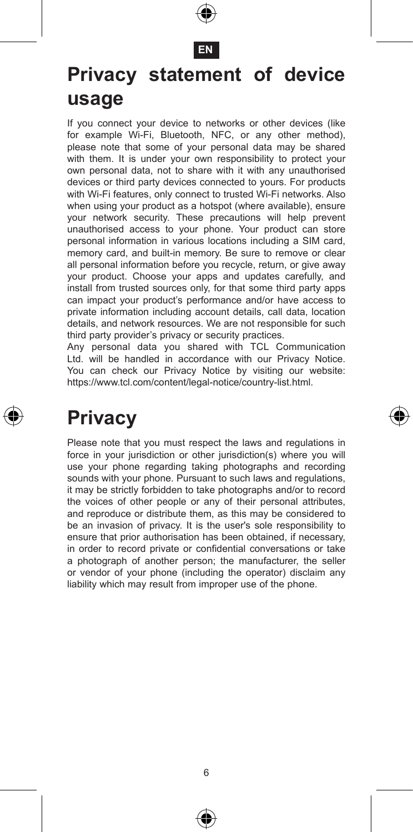

#### **EN**

#### **Privacy statement of device usage**

If you connect your device to networks or other devices (like for example Wi-Fi, Bluetooth, NFC, or any other method), please note that some of your personal data may be shared with them. It is under your own responsibility to protect your own personal data, not to share with it with any unauthorised devices or third party devices connected to yours. For products with Wi-Fi features, only connect to trusted Wi-Fi networks. Also when using your product as a hotspot (where available), ensure your network security. These precautions will help prevent unauthorised access to your phone. Your product can store personal information in various locations including a SIM card, memory card, and built-in memory. Be sure to remove or clear all personal information before you recycle, return, or give away your product. Choose your apps and updates carefully, and install from trusted sources only, for that some third party apps can impact your product's performance and/or have access to private information including account details, call data, location details, and network resources. We are not responsible for such third party provider's privacy or security practices.

Any personal data you shared with TCL Communication Ltd. will be handled in accordance with our Privacy Notice. You can check our Privacy Notice by visiting our website: https://www.tcl.com/content/legal-notice/country-list.html.

### **Privacy**

Please note that you must respect the laws and regulations in force in your jurisdiction or other jurisdiction(s) where you will use your phone regarding taking photographs and recording sounds with your phone. Pursuant to such laws and regulations, it may be strictly forbidden to take photographs and/or to record the voices of other people or any of their personal attributes, and reproduce or distribute them, as this may be considered to be an invasion of privacy. It is the user's sole responsibility to ensure that prior authorisation has been obtained, if necessary, in order to record private or confidential conversations or take a photograph of another person; the manufacturer, the seller or vendor of your phone (including the operator) disclaim any liability which may result from improper use of the phone.



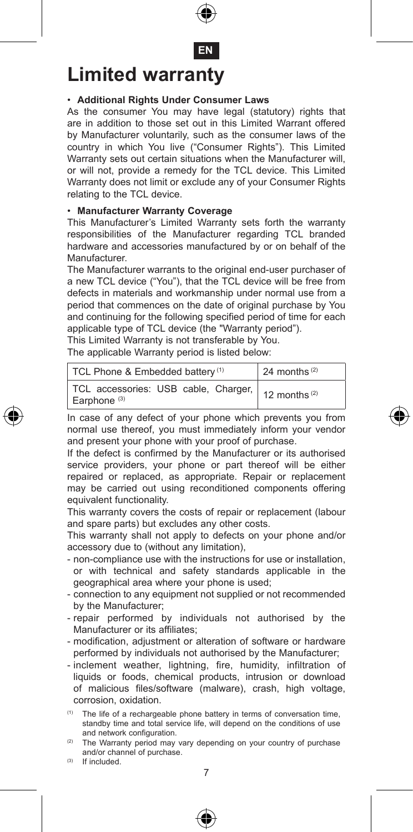

**EN**

### **Limited warranty**

#### • **Additional Rights Under Consumer Laws**

As the consumer You may have legal (statutory) rights that are in addition to those set out in this Limited Warrant offered by Manufacturer voluntarily, such as the consumer laws of the country in which You live ("Consumer Rights"). This Limited Warranty sets out certain situations when the Manufacturer will, or will not, provide a remedy for the TCL device. This Limited Warranty does not limit or exclude any of your Consumer Rights relating to the TCL device.

#### • **Manufacturer Warranty Coverage**

This Manufacturer's Limited Warranty sets forth the warranty responsibilities of the Manufacturer regarding TCL branded hardware and accessories manufactured by or on behalf of the Manufacturer.

The Manufacturer warrants to the original end-user purchaser of a new TCL device ("You"), that the TCL device will be free from defects in materials and workmanship under normal use from a period that commences on the date of original purchase by You and continuing for the following specified period of time for each applicable type of TCL device (the "Warranty period").

This Limited Warranty is not transferable by You.

The applicable Warranty period is listed below:

| TCL Phone & Embedded battery <sup>(1)</sup>                                                      | 24 months $(2)$ |
|--------------------------------------------------------------------------------------------------|-----------------|
| TCL accessories: USB cable, Charger, $\vert$ 12 months <sup>(2)</sup><br>Earphone <sup>(3)</sup> |                 |

In case of any defect of your phone which prevents you from normal use thereof, you must immediately inform your vendor and present your phone with your proof of purchase.

If the defect is confirmed by the Manufacturer or its authorised service providers, your phone or part thereof will be either repaired or replaced, as appropriate. Repair or replacement may be carried out using reconditioned components offering equivalent functionality.

This warranty covers the costs of repair or replacement (labour and spare parts) but excludes any other costs.

This warranty shall not apply to defects on your phone and/or accessory due to (without any limitation),

- non-compliance use with the instructions for use or installation, or with technical and safety standards applicable in the geographical area where your phone is used;
- connection to any equipment not supplied or not recommended by the Manufacturer;
- repair performed by individuals not authorised by the Manufacturer or its affiliates;
- modification, adjustment or alteration of software or hardware performed by individuals not authorised by the Manufacturer;
- inclement weather, lightning, fire, humidity, infiltration of liquids or foods, chemical products, intrusion or download of malicious files/software (malware), crash, high voltage, corrosion, oxidation.

(1) The life of a rechargeable phone battery in terms of conversation time, standby time and total service life, will depend on the conditions of use and network configuration.

7 The Warranty period may vary depending on your country of purchase and/or channel of purchase.

(3) If included.

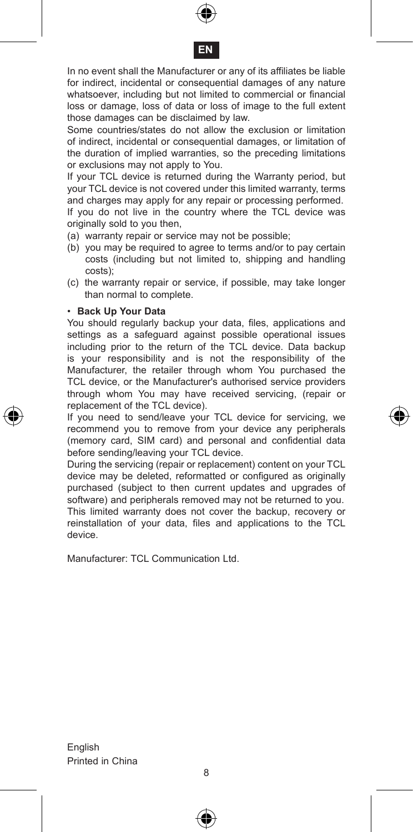



In no event shall the Manufacturer or any of its affiliates be liable for indirect, incidental or consequential damages of any nature whatsoever, including but not limited to commercial or financial loss or damage, loss of data or loss of image to the full extent those damages can be disclaimed by law.

Some countries/states do not allow the exclusion or limitation of indirect, incidental or consequential damages, or limitation of the duration of implied warranties, so the preceding limitations or exclusions may not apply to You.

If your TCL device is returned during the Warranty period, but your TCL device is not covered under this limited warranty, terms and charges may apply for any repair or processing performed. If you do not live in the country where the TCL device was

- originally sold to you then,
- (a) warranty repair or service may not be possible;
- (b) you may be required to agree to terms and/or to pay certain costs (including but not limited to, shipping and handling costs);
- (c) the warranty repair or service, if possible, may take longer than normal to complete.

#### • **Back Up Your Data**

You should regularly backup your data, files, applications and settings as a safeguard against possible operational issues including prior to the return of the TCL device. Data backup is your responsibility and is not the responsibility of the Manufacturer, the retailer through whom You purchased the TCL device, or the Manufacturer's authorised service providers through whom You may have received servicing, (repair or replacement of the TCL device).

If you need to send/leave your TCL device for servicing, we recommend you to remove from your device any peripherals (memory card, SIM card) and personal and confidential data before sending/leaving your TCL device.

During the servicing (repair or replacement) content on your TCL device may be deleted, reformatted or configured as originally purchased (subject to then current updates and upgrades of software) and peripherals removed may not be returned to you. This limited warranty does not cover the backup, recovery or reinstallation of your data, files and applications to the TCL device.

Manufacturer: TCL Communication Ltd.



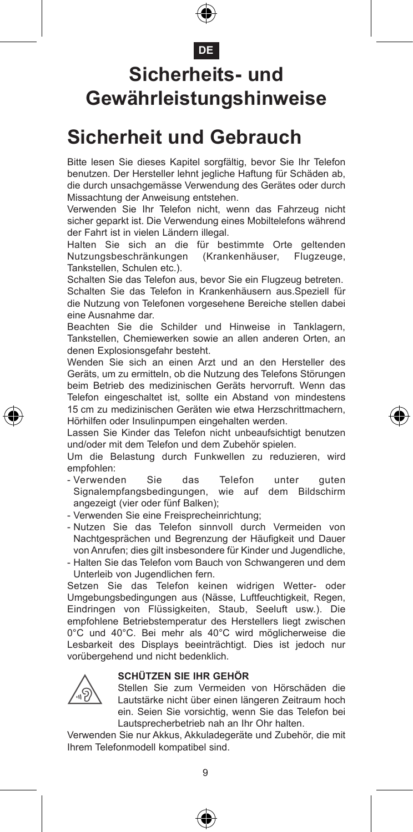#### **DE**

### **Sicherheits- und Gewährleistungshinweise**

#### **Sicherheit und Gebrauch**

Bitte lesen Sie dieses Kapitel sorgfältig, bevor Sie Ihr Telefon benutzen. Der Hersteller lehnt jegliche Haftung für Schäden ab, die durch unsachgemässe Verwendung des Gerätes oder durch Missachtung der Anweisung entstehen.

Verwenden Sie Ihr Telefon nicht, wenn das Fahrzeug nicht sicher geparkt ist. Die Verwendung eines Mobiltelefons während der Fahrt ist in vielen Ländern illegal.

Halten Sie sich an die für bestimmte Orte geltenden Nutzungsbeschränkungen (Krankenhäuser, Flugzeuge, Tankstellen, Schulen etc.).

Schalten Sie das Telefon aus, bevor Sie ein Flugzeug betreten.

Schalten Sie das Telefon in Krankenhäusern aus.Speziell für die Nutzung von Telefonen vorgesehene Bereiche stellen dabei eine Ausnahme dar.

Beachten Sie die Schilder und Hinweise in Tanklagern, Tankstellen, Chemiewerken sowie an allen anderen Orten, an denen Explosionsgefahr besteht.

Wenden Sie sich an einen Arzt und an den Hersteller des Geräts, um zu ermitteln, ob die Nutzung des Telefons Störungen beim Betrieb des medizinischen Geräts hervorruft. Wenn das Telefon eingeschaltet ist, sollte ein Abstand von mindestens 15 cm zu medizinischen Geräten wie etwa Herzschrittmachern, Hörhilfen oder Insulinpumpen eingehalten werden.

Lassen Sie Kinder das Telefon nicht unbeaufsichtigt benutzen und/oder mit dem Telefon und dem Zubehör spielen.

Um die Belastung durch Funkwellen zu reduzieren, wird empfohlen:

- Verwenden Sie das Telefon unter guten Signalempfangsbedingungen, wie auf dem Bildschirm angezeigt (vier oder fünf Balken);
- Verwenden Sie eine Freisprecheinrichtung;
- Nutzen Sie das Telefon sinnvoll durch Vermeiden von Nachtgesprächen und Begrenzung der Häufigkeit und Dauer von Anrufen; dies gilt insbesondere für Kinder und Jugendliche,

- Halten Sie das Telefon vom Bauch von Schwangeren und dem Unterleib von Jugendlichen fern.

Setzen Sie das Telefon keinen widrigen Wetter- oder Umgebungsbedingungen aus (Nässe, Luftfeuchtigkeit, Regen, Eindringen von Flüssigkeiten, Staub, Seeluft usw.). Die empfohlene Betriebstemperatur des Herstellers liegt zwischen 0°C und 40°C. Bei mehr als 40°C wird möglicherweise die Lesbarkeit des Displays beeinträchtigt. Dies ist jedoch nur vorübergehend und nicht bedenklich.



#### **SCHÜTZEN SIE IHR GEHÖR**

 Stellen Sie zum Vermeiden von Hörschäden die Lautstärke nicht über einen längeren Zeitraum hoch ein. Seien Sie vorsichtig, wenn Sie das Telefon bei Lautsprecherbetrieb nah an Ihr Ohr halten.

Verwenden Sie nur Akkus, Akkuladegeräte und Zubehör, die mit Ihrem Telefonmodell kompatibel sind.





€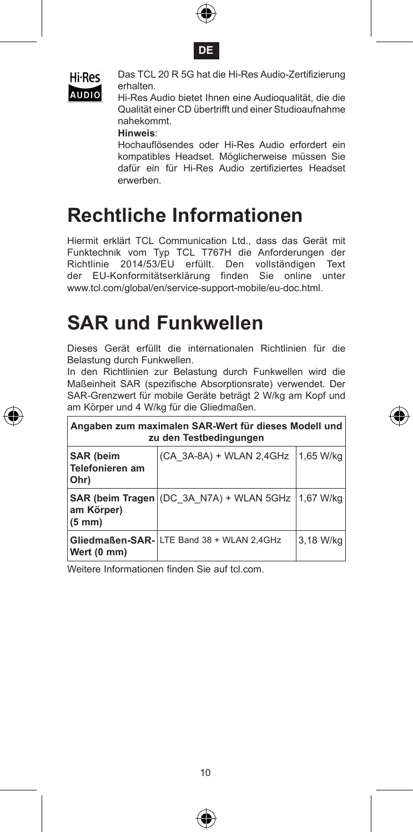





 Das TCL 20 R 5G hat die Hi-Res Audio-Zertifizierung erhalten.

AUDIO Finanen.<br>Hi-Res Audio bietet Ihnen eine Audioqualität, die die Qualität einer CD übertrifft und einer Studioaufnahme nahekommt.

**Hinweis**:

 Hochauflösendes oder Hi-Res Audio erfordert ein kompatibles Headset. Möglicherweise müssen Sie dafür ein für Hi-Res Audio zertifiziertes Headset erwerben.

### **Rechtliche Informationen**

Hiermit erklärt TCL Communication Ltd., dass das Gerät mit Funktechnik vom Typ TCL T767H die Anforderungen der Richtlinie 2014/53/EU erfüllt. Den vollständigen Text der EU-Konformitätserklärung finden Sie online unter www.tcl.com/global/en/service-support-mobile/eu-doc.html.

### **SAR und Funkwellen**

Dieses Gerät erfüllt die internationalen Richtlinien für die Belastung durch Funkwellen.

In den Richtlinien zur Belastung durch Funkwellen wird die Maßeinheit SAR (spezifische Absorptionsrate) verwendet. Der SAR-Grenzwert für mobile Geräte beträgt 2 W/kg am Kopf und am Körper und 4 W/kg für die Gliedmaßen.

| Angaben zum maximalen SAR-Wert für dieses Modell und<br>zu den Testbedingungen |                                                      |           |  |  |  |  |
|--------------------------------------------------------------------------------|------------------------------------------------------|-----------|--|--|--|--|
| <b>SAR</b> (beim<br>Telefonieren am<br>Ohr)                                    | (CA 3A-8A) + WLAN 2,4GHz                             | 1.65 W/ka |  |  |  |  |
| am Körper)<br>$(5 \text{ mm})$                                                 | SAR (beim Tragen (DC 3A N7A) + WLAN 5GHz   1,67 W/kg |           |  |  |  |  |
| Wert (0 mm)                                                                    | Gliedmaßen-SAR- LTE Band 38 + WLAN 2,4GHz            | 3.18 W/ka |  |  |  |  |

Weitere Informationen finden Sie auf tcl.com.



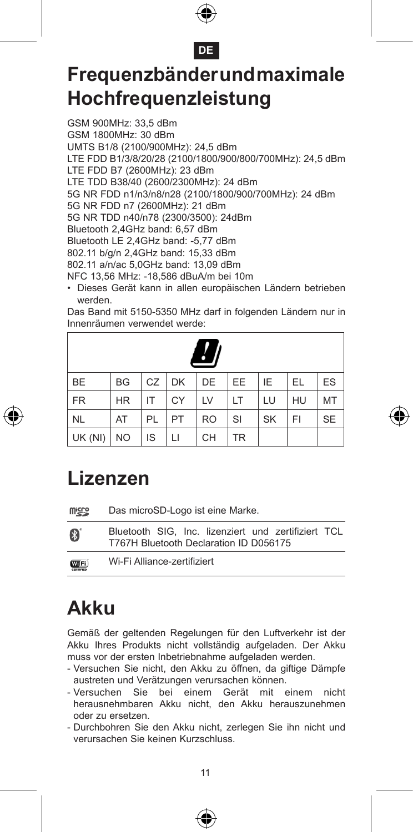



### **Frequenzbänder und maximale Hochfrequenzleistung**

GSM 900MHz: 33,5 dBm GSM 1800MHz: 30 dBm UMTS B1/8 (2100/900MHz): 24,5 dBm LTE FDD B1/3/8/20/28 (2100/1800/900/800/700MHz): 24,5 dBm LTE FDD B7 (2600MHz): 23 dBm LTE TDD B38/40 (2600/2300MHz): 24 dBm 5G NR FDD n1/n3/n8/n28 (2100/1800/900/700MHz): 24 dBm 5G NR FDD n7 (2600MHz): 21 dBm 5G NR TDD n40/n78 (2300/3500): 24dBm Bluetooth 2,4GHz band: 6,57 dBm Bluetooth LE 2,4GHz band: -5,77 dBm 802.11 b/g/n 2,4GHz band: 15,33 dBm 802.11 a/n/ac 5,0GHz band: 13,09 dBm NFC 13,56 MHz: -18,586 dBuA/m bei 10m

• Dieses Gerät kann in allen europäischen Ländern betrieben werden.

Das Band mit 5150-5350 MHz darf in folgenden Ländern nur in Innenräumen verwendet werde:

|           |           |    |           | $^{\prime}$ |           |           |     |           |
|-----------|-----------|----|-----------|-------------|-----------|-----------|-----|-----------|
| <b>BE</b> | BG        | CZ | <b>DK</b> | DE          | EE.       | IE        | EL. | ES        |
| <b>FR</b> | <b>HR</b> | IT | CY        | LV          | LT        | LU        | HU  | MT        |
| <b>NL</b> | AT        | PL | PT        | <b>RO</b>   | SI        | <b>SK</b> | FI  | <b>SE</b> |
| UK (NI)   | <b>NO</b> | IS | П         | <b>CH</b>   | <b>TR</b> |           |     |           |



| <b>Wicco</b>         | Das microSD-Logo ist eine Marke.                                                              |  |  |  |  |  |  |
|----------------------|-----------------------------------------------------------------------------------------------|--|--|--|--|--|--|
| 8                    | Bluetooth SIG. Inc. lizenziert und zertifiziert TCL<br>T767H Bluetooth Declaration ID D056175 |  |  |  |  |  |  |
| <b>WIFi</b><br>commo | Wi-Fi Alliance-zertifiziert                                                                   |  |  |  |  |  |  |

### **Akku**

Gemäß der geltenden Regelungen für den Luftverkehr ist der Akku Ihres Produkts nicht vollständig aufgeladen. Der Akku muss vor der ersten Inbetriebnahme aufgeladen werden.

- Versuchen Sie nicht, den Akku zu öffnen, da giftige Dämpfe austreten und Verätzungen verursachen können.
- Versuchen Sie bei einem Gerät mit einem nicht herausnehmbaren Akku nicht, den Akku herauszunehmen oder zu ersetzen.
- Durchbohren Sie den Akku nicht, zerlegen Sie ihn nicht und verursachen Sie keinen Kurzschluss.





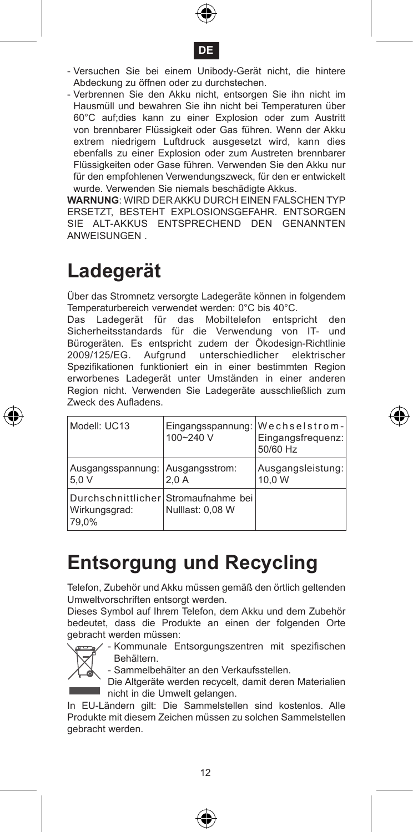



- Versuchen Sie bei einem Unibody-Gerät nicht, die hintere Abdeckung zu öffnen oder zu durchstechen.
- Verbrennen Sie den Akku nicht, entsorgen Sie ihn nicht im Hausmüll und bewahren Sie ihn nicht bei Temperaturen über 60°C auf;dies kann zu einer Explosion oder zum Austritt von brennbarer Flüssigkeit oder Gas führen. Wenn der Akku extrem niedrigem Luftdruck ausgesetzt wird, kann dies ebenfalls zu einer Explosion oder zum Austreten brennbarer Flüssigkeiten oder Gase führen. Verwenden Sie den Akku nur für den empfohlenen Verwendungszweck, für den er entwickelt wurde. Verwenden Sie niemals beschädigte Akkus.

**WARNUNG**: WIRD DER AKKU DURCH EINEN FALSCHEN TYP ERSETZT, BESTEHT EXPLOSIONSGEFAHR. ENTSORGEN SIE ALT-AKKUS ENTSPRECHEND DEN GENANNTEN ANWEISUNGEN .

### **Ladegerät**

Über das Stromnetz versorgte Ladegeräte können in folgendem Temperaturbereich verwendet werden: 0°C bis 40°C.

Das Ladegerät für das Mobiltelefon entspricht den Sicherheitsstandards für die Verwendung von IT- und Bürogeräten. Es entspricht zudem der Ökodesign-Richtlinie 2009/125/EG. Aufgrund unterschiedlicher elektrischer Spezifikationen funktioniert ein in einer bestimmten Region erworbenes Ladegerät unter Umständen in einer anderen Region nicht. Verwenden Sie Ladegeräte ausschließlich zum Zweck des Aufladens.

| Modell: UC13                                                   | 100~240 V        | Eingangsspannung: Wechselstrom-<br>Eingangsfrequenz:<br>50/60 Hz |
|----------------------------------------------------------------|------------------|------------------------------------------------------------------|
| Ausgangsspannung: Ausgangsstrom:<br>5.0 V                      | 2.0A             | Ausgangsleistung:<br>10.0 W                                      |
| Durchschnittlicher Stromaufnahme bei<br>Wirkungsgrad:<br>79.0% | Nulllast: 0.08 W |                                                                  |

### **Entsorgung und Recycling**

Telefon, Zubehör und Akku müssen gemäß den örtlich geltenden Umweltvorschriften entsorgt werden.

Dieses Symbol auf Ihrem Telefon, dem Akku und dem Zubehör bedeutet, dass die Produkte an einen der folgenden Orte gebracht werden müssen:



- Kommunale Entsorgungszentren mit spezifischen Behältern.



In EU-Ländern gilt: Die Sammelstellen sind kostenlos. Alle Produkte mit diesem Zeichen müssen zu solchen Sammelstellen gebracht werden.



⊕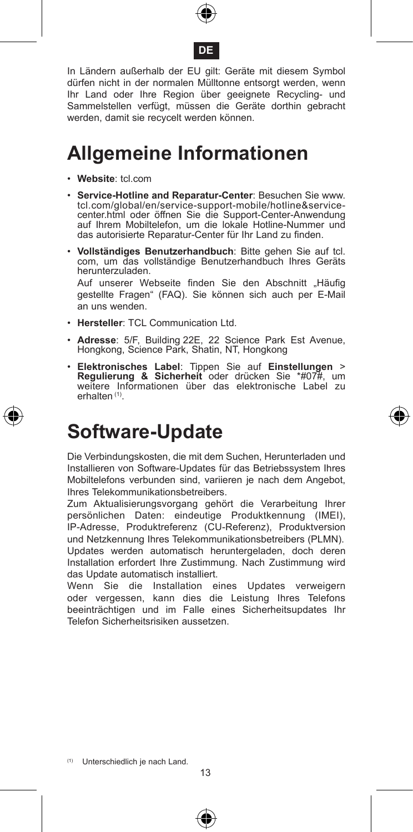



In Ländern außerhalb der EU gilt: Geräte mit diesem Symbol dürfen nicht in der normalen Mülltonne entsorgt werden, wenn Ihr Land oder Ihre Region über geeignete Recycling- und Sammelstellen verfügt, müssen die Geräte dorthin gebracht werden, damit sie recycelt werden können.

#### **Allgemeine Informationen**

- • **Website**: tcl.com
- • **Service-Hotline and Reparatur-Center**: Besuchen Sie www. tcl.com/global/en/service-support-mobile/hotline&servicecenter.html oder öffnen Sie die Support-Center-Anwendung auf Ihrem Mobiltelefon, um die lokale Hotline-Nummer und das autorisierte Reparatur-Center für Ihr Land zu finden.
- • **Vollständiges Benutzerhandbuch**: Bitte gehen Sie auf tcl. com, um das vollständige Benutzerhandbuch Ihres Geräts herunterzuladen. Auf unserer Webseite finden Sie den Abschnitt "Häufig

gestellte Fragen" (FAQ). Sie können sich auch per E-Mail an uns wenden.

- • **Hersteller**: TCL Communication Ltd.
- • **Adresse**: 5/F, Building 22E, 22 Science Park Est Avenue, Hongkong, Science Park, Shatin, NT, Hongkong
- • **Elektronisches Label**: Tippen Sie auf **Einstellungen** > **Regulierung & Sicherheit** oder drücken Sie \*#07#, um weitere Informationen über das elektronische Label zu erhalten (1).

### **Software-Update**

Die Verbindungskosten, die mit dem Suchen, Herunterladen und Installieren von Software-Updates für das Betriebssystem Ihres Mobiltelefons verbunden sind, variieren je nach dem Angebot, Ihres Telekommunikationsbetreibers.

Zum Aktualisierungsvorgang gehört die Verarbeitung Ihrer persönlichen Daten: eindeutige Produktkennung (IMEI), IP-Adresse, Produktreferenz (CU-Referenz), Produktversion und Netzkennung Ihres Telekommunikationsbetreibers (PLMN). Updates werden automatisch heruntergeladen, doch deren Installation erfordert Ihre Zustimmung. Nach Zustimmung wird das Update automatisch installiert.

Wenn Sie die Installation eines Updates verweigern oder vergessen, kann dies die Leistung Ihres Telefons beeinträchtigen und im Falle eines Sicherheitsupdates Ihr Telefon Sicherheitsrisiken aussetzen.





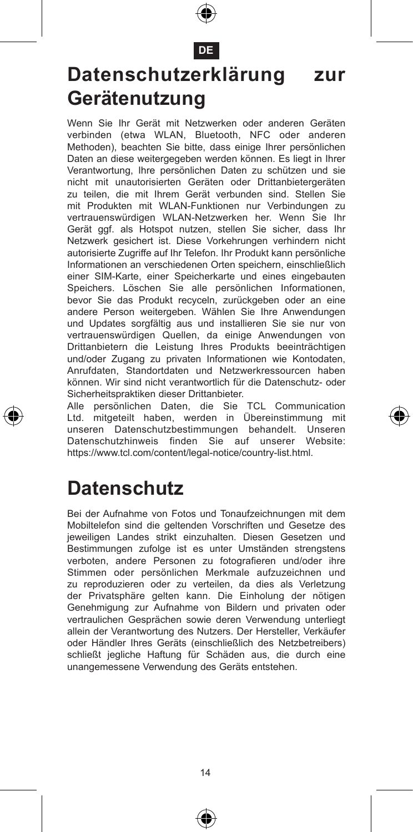

**DE**

### **Datenschutzerklärung zur Gerätenutzung**

Wenn Sie Ihr Gerät mit Netzwerken oder anderen Geräten verbinden (etwa WLAN, Bluetooth, NFC oder anderen Methoden), beachten Sie bitte, dass einige Ihrer persönlichen Daten an diese weitergegeben werden können. Es liegt in Ihrer Verantwortung, Ihre persönlichen Daten zu schützen und sie nicht mit unautorisierten Geräten oder Drittanbietergeräten zu teilen, die mit Ihrem Gerät verbunden sind. Stellen Sie mit Produkten mit WLAN-Funktionen nur Verbindungen zu vertrauenswürdigen WLAN-Netzwerken her. Wenn Sie Ihr Gerät ggf. als Hotspot nutzen, stellen Sie sicher, dass Ihr Netzwerk gesichert ist. Diese Vorkehrungen verhindern nicht autorisierte Zugriffe auf Ihr Telefon. Ihr Produkt kann persönliche Informationen an verschiedenen Orten speichern, einschließlich einer SIM-Karte, einer Speicherkarte und eines eingebauten Speichers. Löschen Sie alle persönlichen Informationen, bevor Sie das Produkt recyceln, zurückgeben oder an eine andere Person weitergeben. Wählen Sie Ihre Anwendungen und Updates sorgfältig aus und installieren Sie sie nur von vertrauenswürdigen Quellen, da einige Anwendungen von Drittanbietern die Leistung Ihres Produkts beeinträchtigen und/oder Zugang zu privaten Informationen wie Kontodaten, Anrufdaten, Standortdaten und Netzwerkressourcen haben können. Wir sind nicht verantwortlich für die Datenschutz- oder Sicherheitspraktiken dieser Drittanbieter.

Alle persönlichen Daten, die Sie TCL Communication Ltd. mitgeteilt haben, werden in Übereinstimmung mit unseren Datenschutzbestimmungen behandelt. Unseren Datenschutzhinweis finden Sie auf unserer Website: https://www.tcl.com/content/legal-notice/country-list.html.

### **Datenschutz**

Bei der Aufnahme von Fotos und Tonaufzeichnungen mit dem Mobiltelefon sind die geltenden Vorschriften und Gesetze des jeweiligen Landes strikt einzuhalten. Diesen Gesetzen und Bestimmungen zufolge ist es unter Umständen strengstens verboten, andere Personen zu fotografieren und/oder ihre Stimmen oder persönlichen Merkmale aufzuzeichnen und zu reproduzieren oder zu verteilen, da dies als Verletzung der Privatsphäre gelten kann. Die Einholung der nötigen Genehmigung zur Aufnahme von Bildern und privaten oder vertraulichen Gesprächen sowie deren Verwendung unterliegt allein der Verantwortung des Nutzers. Der Hersteller, Verkäufer oder Händler Ihres Geräts (einschließlich des Netzbetreibers) schließt jegliche Haftung für Schäden aus, die durch eine unangemessene Verwendung des Geräts entstehen.





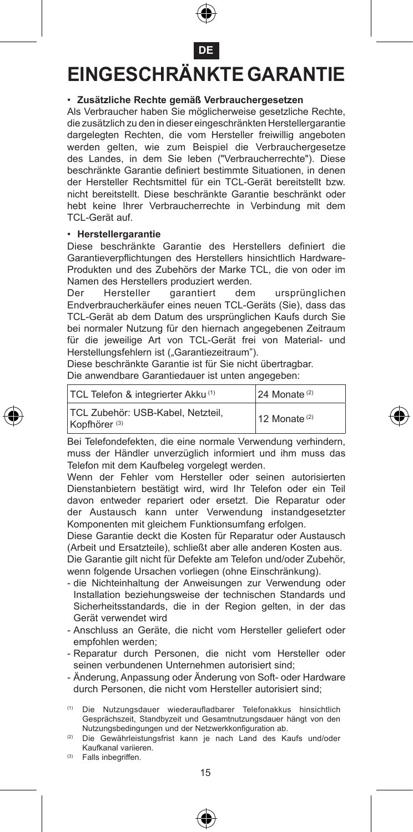

**DE**

#### **EINGESCHRÄNKTE GARANTIE**

#### • **Zusätzliche Rechte gemäß Verbrauchergesetzen**

Als Verbraucher haben Sie möglicherweise gesetzliche Rechte, die zusätzlich zu den in dieser eingeschränkten Herstellergarantie dargelegten Rechten, die vom Hersteller freiwillig angeboten werden gelten, wie zum Beispiel die Verbrauchergesetze des Landes, in dem Sie leben ("Verbraucherrechte"). Diese beschränkte Garantie definiert bestimmte Situationen, in denen der Hersteller Rechtsmittel für ein TCL-Gerät bereitstellt bzw. nicht bereitstellt. Diese beschränkte Garantie beschränkt oder hebt keine Ihrer Verbraucherrechte in Verbindung mit dem TCL-Gerät auf.

#### • **Herstellergarantie**

Diese beschränkte Garantie des Herstellers definiert die Garantieverpflichtungen des Herstellers hinsichtlich Hardware-Produkten und des Zubehörs der Marke TCL, die von oder im Namen des Herstellers produziert werden.<br>Der Hersteller garantiert den

Der Hersteller garantiert dem ursprünglichen Endverbraucherkäufer eines neuen TCL-Geräts (Sie), dass das TCL-Gerät ab dem Datum des ursprünglichen Kaufs durch Sie bei normaler Nutzung für den hiernach angegebenen Zeitraum für die jeweilige Art von TCL-Gerät frei von Material- und Herstellungsfehlern ist ("Garantiezeitraum").

Diese beschränkte Garantie ist für Sie nicht übertragbar. Die anwendbare Garantiedauer ist unten angegeben:

| TCL Telefon & integrierter Akku <sup>(1)</sup>                | 24 Monate <sup>(2)</sup> |
|---------------------------------------------------------------|--------------------------|
| TCL Zubehör: USB-Kabel, Netzteil.<br>Kopfhörer <sup>(3)</sup> | 12 Monate $(2)$          |

Bei Telefondefekten, die eine normale Verwendung verhindern, muss der Händler unverzüglich informiert und ihm muss das Telefon mit dem Kaufbeleg vorgelegt werden.

Wenn der Fehler vom Hersteller oder seinen autorisierten Dienstanbietern bestätigt wird, wird Ihr Telefon oder ein Teil davon entweder repariert oder ersetzt. Die Reparatur oder der Austausch kann unter Verwendung instandgesetzter Komponenten mit gleichem Funktionsumfang erfolgen.

Diese Garantie deckt die Kosten für Reparatur oder Austausch (Arbeit und Ersatzteile), schließt aber alle anderen Kosten aus.

Die Garantie gilt nicht für Defekte am Telefon und/oder Zubehör, wenn folgende Ursachen vorliegen (ohne Einschränkung).

- die Nichteinhaltung der Anweisungen zur Verwendung oder Installation beziehungsweise der technischen Standards und Sicherheitsstandards, die in der Region gelten, in der das Gerät verwendet wird
- Anschluss an Geräte, die nicht vom Hersteller geliefert oder empfohlen werden;
- Reparatur durch Personen, die nicht vom Hersteller oder seinen verbundenen Unternehmen autorisiert sind;
- Änderung, Anpassung oder Änderung von Soft- oder Hardware durch Personen, die nicht vom Hersteller autorisiert sind;

(1) Die Nutzungsdauer wiederaufladbarer Telefonakkus hinsichtlich Gesprächszeit, Standbyzeit und Gesamtnutzungsdauer hängt von den Nutzungsbedingungen und der Netzwerkkonfiguration ab.

Die Gewährleistungsfrist kann je nach Land des Kaufs und/oder Kaufkanal variieren.

(3) Falls inbegriffen.

€

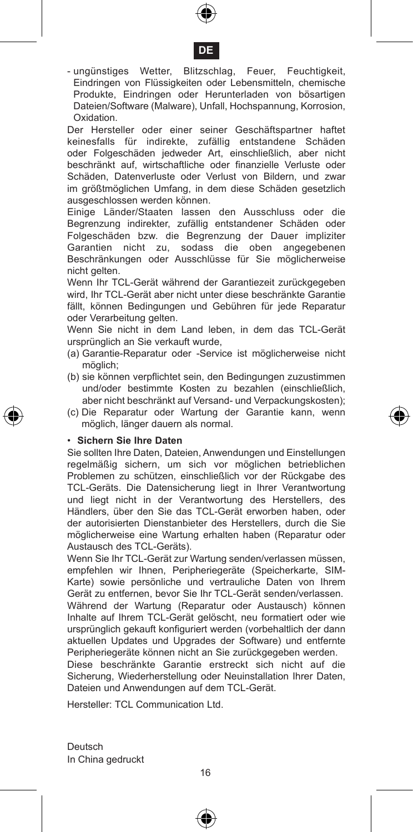



- ungünstiges Wetter, Blitzschlag, Feuer, Feuchtigkeit, Eindringen von Flüssigkeiten oder Lebensmitteln, chemische Produkte, Eindringen oder Herunterladen von bösartigen Dateien/Software (Malware), Unfall, Hochspannung, Korrosion, Oxidation.

Der Hersteller oder einer seiner Geschäftspartner haftet keinesfalls für indirekte, zufällig entstandene Schäden oder Folgeschäden jedweder Art, einschließlich, aber nicht beschränkt auf, wirtschaftliche oder finanzielle Verluste oder Schäden, Datenverluste oder Verlust von Bildern, und zwar im größtmöglichen Umfang, in dem diese Schäden gesetzlich ausgeschlossen werden können.

Einige Länder/Staaten lassen den Ausschluss oder die Begrenzung indirekter, zufällig entstandener Schäden oder Folgeschäden bzw. die Begrenzung der Dauer impliziter Garantien nicht zu, sodass die oben angegebenen Beschränkungen oder Ausschlüsse für Sie möglicherweise nicht gelten.

Wenn Ihr TCL-Gerät während der Garantiezeit zurückgegeben wird, Ihr TCL-Gerät aber nicht unter diese beschränkte Garantie fällt, können Bedingungen und Gebühren für jede Reparatur oder Verarbeitung gelten.

Wenn Sie nicht in dem Land leben, in dem das TCL-Gerät ursprünglich an Sie verkauft wurde,

- (a) Garantie-Reparatur oder -Service ist möglicherweise nicht möglich;
- (b) sie können verpflichtet sein, den Bedingungen zuzustimmen und/oder bestimmte Kosten zu bezahlen (einschließlich, aber nicht beschränkt auf Versand- und Verpackungskosten);
- (c) Die Reparatur oder Wartung der Garantie kann, wenn möglich, länger dauern als normal.

#### • **Sichern Sie Ihre Daten**

Sie sollten Ihre Daten, Dateien, Anwendungen und Einstellungen regelmäßig sichern, um sich vor möglichen betrieblichen Problemen zu schützen, einschließlich vor der Rückgabe des TCL-Geräts. Die Datensicherung liegt in Ihrer Verantwortung und liegt nicht in der Verantwortung des Herstellers, des Händlers, über den Sie das TCL-Gerät erworben haben, oder der autorisierten Dienstanbieter des Herstellers, durch die Sie möglicherweise eine Wartung erhalten haben (Reparatur oder Austausch des TCL-Geräts).

Wenn Sie Ihr TCL-Gerät zur Wartung senden/verlassen müssen, empfehlen wir Ihnen, Peripheriegeräte (Speicherkarte, SIM-Karte) sowie persönliche und vertrauliche Daten von Ihrem Gerät zu entfernen, bevor Sie Ihr TCL-Gerät senden/verlassen.

Während der Wartung (Reparatur oder Austausch) können Inhalte auf Ihrem TCL-Gerät gelöscht, neu formatiert oder wie ursprünglich gekauft konfiguriert werden (vorbehaltlich der dann aktuellen Updates und Upgrades der Software) und entfernte Peripheriegeräte können nicht an Sie zurückgegeben werden.

Diese beschränkte Garantie erstreckt sich nicht auf die Sicherung, Wiederherstellung oder Neuinstallation Ihrer Daten, Dateien und Anwendungen auf dem TCL-Gerät.

Hersteller: TCL Communication Ltd.

Deutsch In China gedruckt

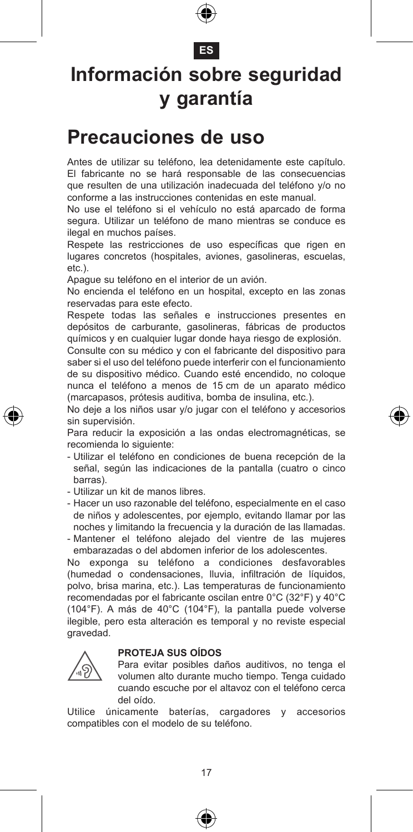

#### **ES**

### **Información sobre seguridad y garantía**

#### **Precauciones de uso**

Antes de utilizar su teléfono, lea detenidamente este capítulo. El fabricante no se hará responsable de las consecuencias que resulten de una utilización inadecuada del teléfono y/o no conforme a las instrucciones contenidas en este manual.

No use el teléfono si el vehículo no está aparcado de forma segura. Utilizar un teléfono de mano mientras se conduce es ilegal en muchos países.

Respete las restricciones de uso específicas que rigen en lugares concretos (hospitales, aviones, gasolineras, escuelas, etc.).

Apague su teléfono en el interior de un avión.

No encienda el teléfono en un hospital, excepto en las zonas reservadas para este efecto.

Respete todas las señales e instrucciones presentes en depósitos de carburante, gasolineras, fábricas de productos químicos y en cualquier lugar donde haya riesgo de explosión.

Consulte con su médico y con el fabricante del dispositivo para saber si el uso del teléfono puede interferir con el funcionamiento de su dispositivo médico. Cuando esté encendido, no coloque nunca el teléfono a menos de 15 cm de un aparato médico (marcapasos, prótesis auditiva, bomba de insulina, etc.).

No deje a los niños usar y/o jugar con el teléfono y accesorios sin supervisión.

Para reducir la exposición a las ondas electromagnéticas, se recomienda lo siguiente:

- Utilizar el teléfono en condiciones de buena recepción de la señal, según las indicaciones de la pantalla (cuatro o cinco barras).
- Utilizar un kit de manos libres.
- Hacer un uso razonable del teléfono, especialmente en el caso de niños y adolescentes, por ejemplo, evitando llamar por las noches y limitando la frecuencia y la duración de las llamadas.
- Mantener el teléfono alejado del vientre de las mujeres embarazadas o del abdomen inferior de los adolescentes.

No exponga su teléfono a condiciones desfavorables (humedad o condensaciones, lluvia, infiltración de líquidos, polvo, brisa marina, etc.). Las temperaturas de funcionamiento recomendadas por el fabricante oscilan entre 0°C (32°F) y 40°C (104°F). A más de 40°C (104°F), la pantalla puede volverse ilegible, pero esta alteración es temporal y no reviste especial gravedad.

#### **PROTEJA SUS OÍDOS**



 Para evitar posibles daños auditivos, no tenga el volumen alto durante mucho tiempo. Tenga cuidado cuando escuche por el altavoz con el teléfono cerca del oído.

Utilice únicamente baterías, cargadores y accesorios compatibles con el modelo de su teléfono.



€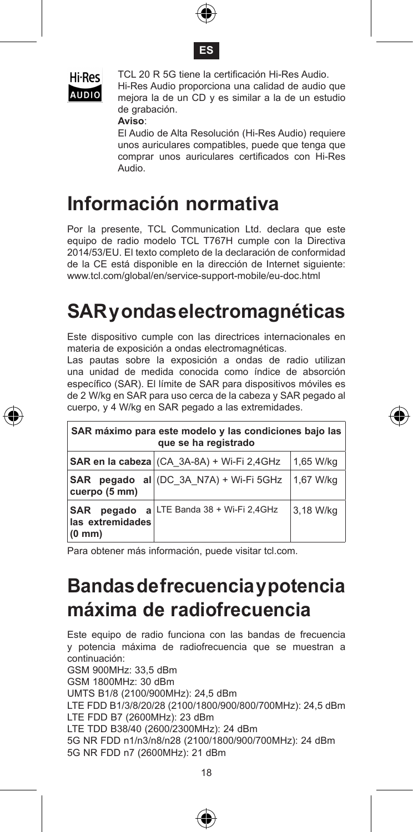





TCL 20 R 5G tiene la certificación Hi-Res Audio.

Hi-Res Audio proporciona una calidad de audio que<br>AUDIO meiora la de un CD y es similar a la de un estudio mejora la de un CD y es similar a la de un estudio de grabación.

#### **Aviso**:

 El Audio de Alta Resolución (Hi-Res Audio) requiere unos auriculares compatibles, puede que tenga que comprar unos auriculares certificados con Hi-Res Audio.

#### **Información normativa**

Por la presente, TCL Communication Ltd. declara que este equipo de radio modelo TCL T767H cumple con la Directiva 2014/53/EU. El texto completo de la declaración de conformidad de la CE está disponible en la dirección de Internet siguiente: www.tcl.com/global/en/service-support-mobile/eu-doc.html

### **SAR y ondas electromagnéticas**

Este dispositivo cumple con las directrices internacionales en materia de exposición a ondas electromagnéticas.

Las pautas sobre la exposición a ondas de radio utilizan una unidad de medida conocida como índice de absorción específico (SAR). El límite de SAR para dispositivos móviles es de 2 W/kg en SAR para uso cerca de la cabeza y SAR pegado al cuerpo, y 4 W/kg en SAR pegado a las extremidades.

| SAR máximo para este modelo y las condiciones bajo las<br>que se ha registrado |                                        |           |  |  |  |  |  |
|--------------------------------------------------------------------------------|----------------------------------------|-----------|--|--|--|--|--|
| SAR en la cabeza (CA 3A-8A) + Wi-Fi 2,4GHz<br>1,65 W/kg                        |                                        |           |  |  |  |  |  |
| cuerpo (5 mm)                                                                  | SAR pegado al (DC 3A N7A) + Wi-Fi 5GHz | 1.67 W/ka |  |  |  |  |  |
| <b>SAR</b><br>pegado<br>las extremidades<br>$(0 \text{ mm})$                   | a LTE Banda 38 + Wi-Fi 2,4GHz          | 3.18 W/ka |  |  |  |  |  |

Para obtener más información, puede visitar tcl.com.

### **Bandas de frecuencia y potencia máxima de radiofrecuencia**

Este equipo de radio funciona con las bandas de frecuencia y potencia máxima de radiofrecuencia que se muestran a continuación: GSM 900MHz: 33,5 dBm GSM 1800MHz: 30 dBm UMTS B1/8 (2100/900MHz): 24,5 dBm LTE FDD B1/3/8/20/28 (2100/1800/900/800/700MHz): 24,5 dBm LTE FDD B7 (2600MHz): 23 dBm LTE TDD B38/40 (2600/2300MHz): 24 dBm 5G NR FDD n1/n3/n8/n28 (2100/1800/900/700MHz): 24 dBm 5G NR FDD n7 (2600MHz): 21 dBm



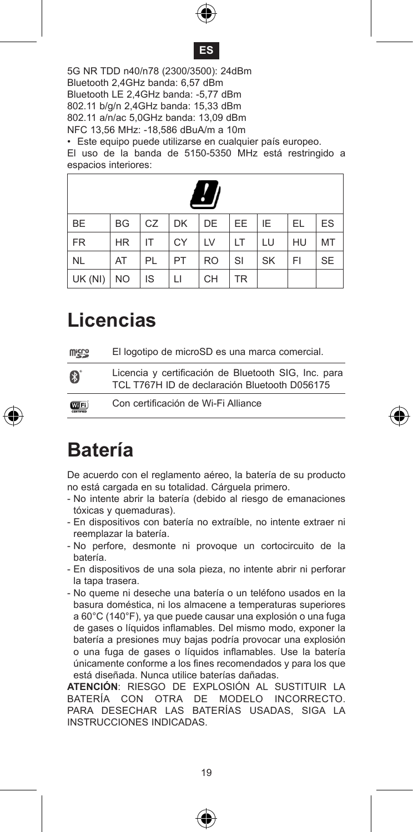



5G NR TDD n40/n78 (2300/3500): 24dBm Bluetooth 2,4GHz banda: 6,57 dBm Bluetooth LE 2,4GHz banda: -5,77 dBm 802.11 b/g/n 2,4GHz banda: 15,33 dBm 802.11 a/n/ac 5,0GHz banda: 13,09 dBm NFC 13,56 MHz: -18,586 dBuA/m a 10m • Este equipo puede utilizarse en cualquier país europeo.

El uso de la banda de 5150-5350 MHz está restringido a espacios interiores:

|           |           |    |           | $\overline{\mathcal{L}}$ |           |           |    |           |
|-----------|-----------|----|-----------|--------------------------|-----------|-----------|----|-----------|
| <b>BE</b> | <b>BG</b> | CZ | <b>DK</b> | DE                       | <b>EE</b> | ΙE        | EL | ES        |
| <b>FR</b> | <b>HR</b> | IT | CY        | LV                       | LТ        | LU        | HU | MT        |
| <b>NL</b> | AT        | PL | PT        | <b>RO</b>                | SI        | <b>SK</b> | FI | <b>SE</b> |
| UK (NI)   | <b>NO</b> | IS | LI        | <b>CH</b>                | <b>TR</b> |           |    |           |

#### **Licencias**

| <b>Wicco</b>  | El logotipo de microSD es una marca comercial.                                                        |
|---------------|-------------------------------------------------------------------------------------------------------|
| B             | Licencia y certificación de Bluetooth SIG, Inc. para<br>TCL T767H ID de declaración Bluetooth D056175 |
| <b>COTFI)</b> | Con certificación de Wi-Fi Alliance                                                                   |



#### **Batería**

De acuerdo con el reglamento aéreo, la batería de su producto no está cargada en su totalidad. Cárguela primero.

- No intente abrir la batería (debido al riesgo de emanaciones tóxicas y quemaduras).
- En dispositivos con batería no extraíble, no intente extraer ni reemplazar la batería.
- No perfore, desmonte ni provoque un cortocircuito de la batería.
- En dispositivos de una sola pieza, no intente abrir ni perforar la tapa trasera.
- No queme ni deseche una batería o un teléfono usados en la basura doméstica, ni los almacene a temperaturas superiores a 60°C (140°F), ya que puede causar una explosión o una fuga de gases o líquidos inflamables. Del mismo modo, exponer la batería a presiones muy bajas podría provocar una explosión o una fuga de gases o líquidos inflamables. Use la batería únicamente conforme a los fines recomendados y para los que está diseñada. Nunca utilice baterías dañadas.

**ATENCIÓN**: RIESGO DE EXPLOSIÓN AL SUSTITUIR LA BATERÍA CON OTRA DE MODELO INCORRECTO. PARA DESECHAR LAS BATERÍAS USADAS, SIGA LA INSTRUCCIONES INDICADAS.

€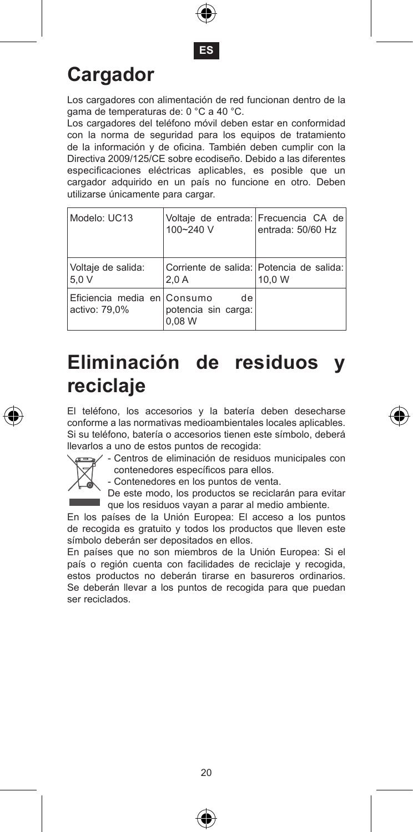



# **Cargador**

Los cargadores con alimentación de red funcionan dentro de la gama de temperaturas de: 0 °C a 40 °C.

Los cargadores del teléfono móvil deben estar en conformidad con la norma de seguridad para los equipos de tratamiento de la información y de oficina. También deben cumplir con la Directiva 2009/125/CE sobre ecodiseño. Debido a las diferentes especificaciones eléctricas aplicables, es posible que un cargador adquirido en un país no funcione en otro. Deben utilizarse únicamente para cargar.

| Modelo: UC13                                 | Voltaje de entrada: Frecuencia CA de<br>100~240 V | entrada: 50/60 Hz |
|----------------------------------------------|---------------------------------------------------|-------------------|
| Voltaie de salida:<br>5.0V                   | Corriente de salida: Potencia de salida:<br>2.0A  | 10.0 W            |
| Eficiencia media en Consumo<br>activo: 79.0% | de<br>potencia sin carga:<br>0.08 W               |                   |

### **Eliminación de residuos y reciclaje**

El teléfono, los accesorios y la batería deben desecharse conforme a las normativas medioambientales locales aplicables. Si su teléfono, batería o accesorios tienen este símbolo, deberá llevarlos a uno de estos puntos de recogida:



- Centros de eliminación de residuos municipales con contenedores específicos para ellos.

- Contenedores en los puntos de venta.

De este modo, los productos se reciclarán para evitar que los residuos vayan a parar al medio ambiente.

En los países de la Unión Europea: El acceso a los puntos de recogida es gratuito y todos los productos que lleven este símbolo deberán ser depositados en ellos.

En países que no son miembros de la Unión Europea: Si el país o región cuenta con facilidades de reciclaje y recogida, estos productos no deberán tirarse en basureros ordinarios. Se deberán llevar a los puntos de recogida para que puedan ser reciclados.



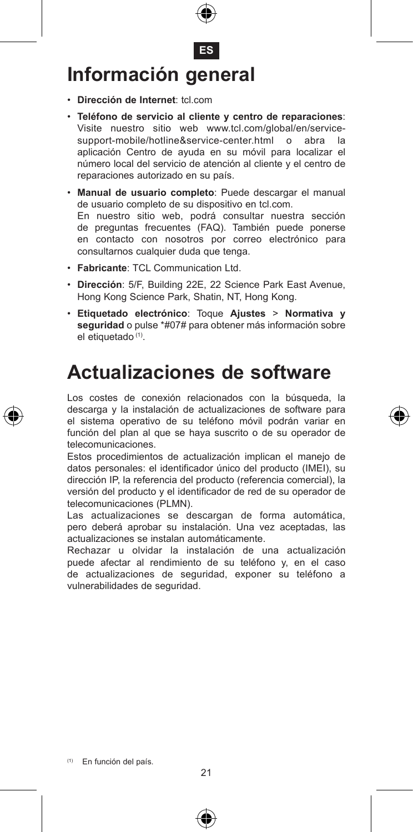- **ES Información general**
- • **Dirección de Internet**: tcl.com
- • **Teléfono de servicio al cliente y centro de reparaciones**: Visite nuestro sitio web www.tcl.com/global/en/servicesupport-mobile/hotline&service-center.html o abra la aplicación Centro de ayuda en su móvil para localizar el número local del servicio de atención al cliente y el centro de reparaciones autorizado en su país.
- • **Manual de usuario completo**: Puede descargar el manual de usuario completo de su dispositivo en tcl.com. En nuestro sitio web, podrá consultar nuestra sección de preguntas frecuentes (FAQ). También puede ponerse en contacto con nosotros por correo electrónico para consultarnos cualquier duda que tenga.
- • **Fabricante**: TCL Communication Ltd.
- • **Dirección**: 5/F, Building 22E, 22 Science Park East Avenue, Hong Kong Science Park, Shatin, NT, Hong Kong.
- • **Etiquetado electrónico**: Toque **Ajustes** > **Normativa y seguridad** o pulse \*#07# para obtener más información sobre el etiquetado (1).

#### **Actualizaciones de software**

Los costes de conexión relacionados con la búsqueda, la descarga y la instalación de actualizaciones de software para el sistema operativo de su teléfono móvil podrán variar en función del plan al que se haya suscrito o de su operador de telecomunicaciones.

Estos procedimientos de actualización implican el manejo de datos personales: el identificador único del producto (IMEI), su dirección IP, la referencia del producto (referencia comercial), la versión del producto y el identificador de red de su operador de telecomunicaciones (PLMN).

Las actualizaciones se descargan de forma automática, pero deberá aprobar su instalación. Una vez aceptadas, las actualizaciones se instalan automáticamente.

Rechazar u olvidar la instalación de una actualización puede afectar al rendimiento de su teléfono y, en el caso de actualizaciones de seguridad, exponer su teléfono a vulnerabilidades de seguridad.



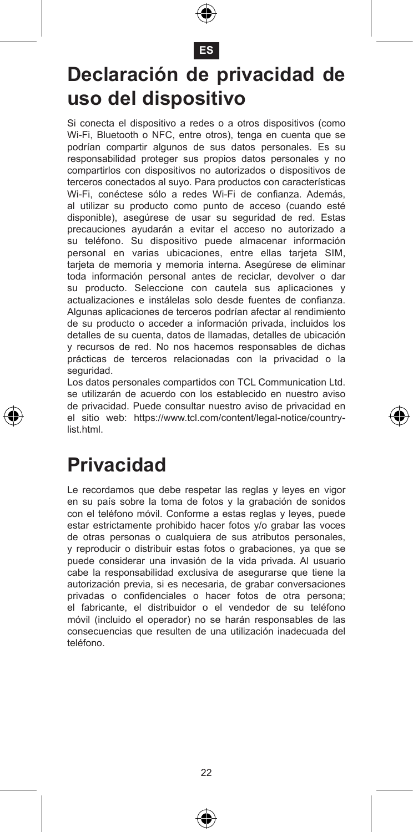

#### **ES**

#### **Declaración de privacidad de uso del dispositivo**

Si conecta el dispositivo a redes o a otros dispositivos (como Wi-Fi, Bluetooth o NFC, entre otros), tenga en cuenta que se podrían compartir algunos de sus datos personales. Es su responsabilidad proteger sus propios datos personales y no compartirlos con dispositivos no autorizados o dispositivos de terceros conectados al suyo. Para productos con características Wi-Fi, conéctese sólo a redes Wi-Fi de confianza. Además, al utilizar su producto como punto de acceso (cuando esté disponible), asegúrese de usar su seguridad de red. Estas precauciones ayudarán a evitar el acceso no autorizado a su teléfono. Su dispositivo puede almacenar información personal en varias ubicaciones, entre ellas tarjeta SIM, tarjeta de memoria y memoria interna. Asegúrese de eliminar toda información personal antes de reciclar, devolver o dar su producto. Seleccione con cautela sus aplicaciones y actualizaciones e instálelas solo desde fuentes de confianza. Algunas aplicaciones de terceros podrían afectar al rendimiento de su producto o acceder a información privada, incluidos los detalles de su cuenta, datos de llamadas, detalles de ubicación y recursos de red. No nos hacemos responsables de dichas prácticas de terceros relacionadas con la privacidad o la seguridad.

Los datos personales compartidos con TCL Communication Ltd. se utilizarán de acuerdo con los establecido en nuestro aviso de privacidad. Puede consultar nuestro aviso de privacidad en el sitio web: https://www.tcl.com/content/legal-notice/countrylist.html

#### **Privacidad**

Le recordamos que debe respetar las reglas y leyes en vigor en su país sobre la toma de fotos y la grabación de sonidos con el teléfono móvil. Conforme a estas reglas y leyes, puede estar estrictamente prohibido hacer fotos y/o grabar las voces de otras personas o cualquiera de sus atributos personales, y reproducir o distribuir estas fotos o grabaciones, ya que se puede considerar una invasión de la vida privada. Al usuario cabe la responsabilidad exclusiva de asegurarse que tiene la autorización previa, si es necesaria, de grabar conversaciones privadas o confidenciales o hacer fotos de otra persona; el fabricante, el distribuidor o el vendedor de su teléfono móvil (incluido el operador) no se harán responsables de las consecuencias que resulten de una utilización inadecuada del teléfono.



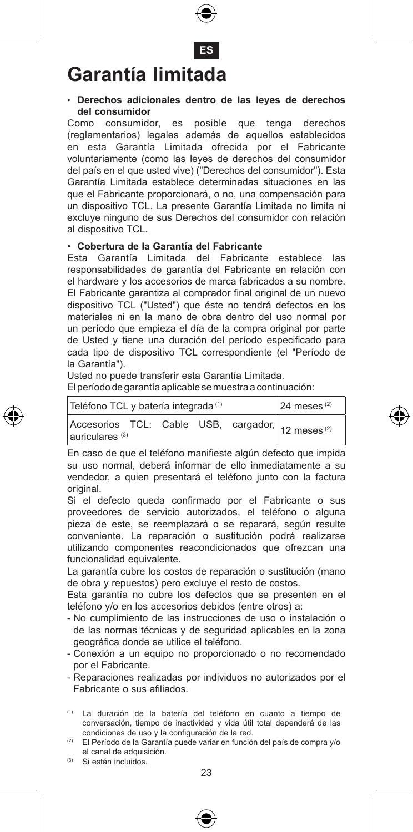

#### • **Derechos adicionales dentro de las leyes de derechos**  del consumidor<br>Como consumidor,

es posible que tenga derechos (reglamentarios) legales además de aquellos establecidos en esta Garantía Limitada ofrecida por el Fabricante voluntariamente (como las leyes de derechos del consumidor del país en el que usted vive) ("Derechos del consumidor"). Esta Garantía Limitada establece determinadas situaciones en las que el Fabricante proporcionará, o no, una compensación para un dispositivo TCL. La presente Garantía Limitada no limita ni excluye ninguno de sus Derechos del consumidor con relación al dispositivo TCL.

#### • **Cobertura de la Garantía del Fabricante**

Esta Garantía Limitada del Fabricante establece las responsabilidades de garantía del Fabricante en relación con el hardware y los accesorios de marca fabricados a su nombre. El Fabricante garantiza al comprador final original de un nuevo dispositivo TCL ("Usted") que éste no tendrá defectos en los materiales ni en la mano de obra dentro del uso normal por un período que empieza el día de la compra original por parte de Usted y tiene una duración del período especificado para cada tipo de dispositivo TCL correspondiente (el "Período de la Garantía").

Usted no puede transferir esta Garantía Limitada.

El período de garantía aplicable se muestra a continuación:

| Teléfono TCL y batería integrada <sup>(1)</sup> | $24$ meses <sup>(2)</sup> |  |  |  |                                                              |
|-------------------------------------------------|---------------------------|--|--|--|--------------------------------------------------------------|
| auriculares <sup>(3)</sup>                      |                           |  |  |  | Accesorios TCL: Cable USB, cargador, 12 meses <sup>(2)</sup> |

En caso de que el teléfono manifieste algún defecto que impida su uso normal, deberá informar de ello inmediatamente a su vendedor, a quien presentará el teléfono junto con la factura original.

Si el defecto queda confirmado por el Fabricante o sus proveedores de servicio autorizados, el teléfono o alguna pieza de este, se reemplazará o se reparará, según resulte conveniente. La reparación o sustitución podrá realizarse utilizando componentes reacondicionados que ofrezcan una funcionalidad equivalente.

La garantía cubre los costos de reparación o sustitución (mano de obra y repuestos) pero excluye el resto de costos.

Esta garantía no cubre los defectos que se presenten en el teléfono y/o en los accesorios debidos (entre otros) a:

- No cumplimiento de las instrucciones de uso o instalación o de las normas técnicas y de seguridad aplicables en la zona geográfica donde se utilice el teléfono.
- Conexión a un equipo no proporcionado o no recomendado por el Fabricante.
- Reparaciones realizadas por individuos no autorizados por el Fabricante o sus afiliados.
- (1) La duración de la batería del teléfono en cuanto a tiempo de conversación, tiempo de inactividad y vida útil total dependerá de las condiciones de uso y la configuración de la red.

(2) El Período de la Garantía puede variar en función del país de compra y/o el canal de adquisición.

(3) Si están incluidos.

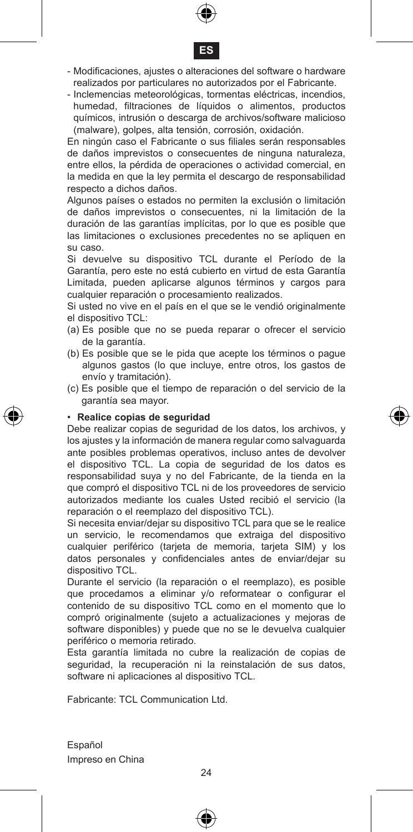



- Modificaciones, ajustes o alteraciones del software o hardware realizados por particulares no autorizados por el Fabricante.
- Inclemencias meteorológicas, tormentas eléctricas, incendios, humedad, filtraciones de líquidos o alimentos, productos químicos, intrusión o descarga de archivos/software malicioso (malware), golpes, alta tensión, corrosión, oxidación.

En ningún caso el Fabricante o sus filiales serán responsables de daños imprevistos o consecuentes de ninguna naturaleza, entre ellos, la pérdida de operaciones o actividad comercial, en la medida en que la ley permita el descargo de responsabilidad respecto a dichos daños.

Algunos países o estados no permiten la exclusión o limitación de daños imprevistos o consecuentes, ni la limitación de la duración de las garantías implícitas, por lo que es posible que las limitaciones o exclusiones precedentes no se apliquen en su caso.

Si devuelve su dispositivo TCL durante el Período de la Garantía, pero este no está cubierto en virtud de esta Garantía Limitada, pueden aplicarse algunos términos y cargos para cualquier reparación o procesamiento realizados.

Si usted no vive en el país en el que se le vendió originalmente el dispositivo TCL:

- (a) Es posible que no se pueda reparar o ofrecer el servicio de la garantía.
- (b) Es posible que se le pida que acepte los términos o pague algunos gastos (lo que incluye, entre otros, los gastos de envío y tramitación).
- (c) Es posible que el tiempo de reparación o del servicio de la garantía sea mayor.

#### • **Realice copias de seguridad**

Debe realizar copias de seguridad de los datos, los archivos, y los ajustes y la información de manera regular como salvaguarda ante posibles problemas operativos, incluso antes de devolver el dispositivo TCL. La copia de seguridad de los datos es responsabilidad suya y no del Fabricante, de la tienda en la que compró el dispositivo TCL ni de los proveedores de servicio autorizados mediante los cuales Usted recibió el servicio (la reparación o el reemplazo del dispositivo TCL).

Si necesita enviar/dejar su dispositivo TCL para que se le realice un servicio, le recomendamos que extraiga del dispositivo cualquier periférico (tarjeta de memoria, tarjeta SIM) y los datos personales y confidenciales antes de enviar/dejar su dispositivo TCL.

Durante el servicio (la reparación o el reemplazo), es posible que procedamos a eliminar y/o reformatear o configurar el contenido de su dispositivo TCL como en el momento que lo compró originalmente (sujeto a actualizaciones y mejoras de software disponibles) y puede que no se le devuelva cualquier periférico o memoria retirado.

Esta garantía limitada no cubre la realización de copias de seguridad, la recuperación ni la reinstalación de sus datos, software ni aplicaciones al dispositivo TCL.

Fabricante: TCL Communication Ltd.

Español Impreso en China





 $24$ 

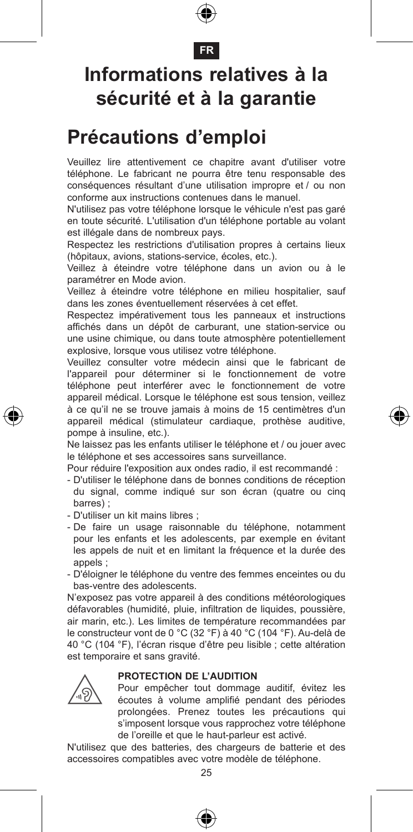#### **FR**

### **Informations relatives à la sécurité et à la garantie**

#### **Précautions d'emploi**

Veuillez lire attentivement ce chapitre avant d'utiliser votre téléphone. Le fabricant ne pourra être tenu responsable des conséquences résultant d'une utilisation impropre et / ou non conforme aux instructions contenues dans le manuel.

N'utilisez pas votre téléphone lorsque le véhicule n'est pas garé en toute sécurité. L'utilisation d'un téléphone portable au volant est illégale dans de nombreux pays.

Respectez les restrictions d'utilisation propres à certains lieux (hôpitaux, avions, stations-service, écoles, etc.).

Veillez à éteindre votre téléphone dans un avion ou à le paramétrer en Mode avion.

Veillez à éteindre votre téléphone en milieu hospitalier, sauf dans les zones éventuellement réservées à cet effet.

Respectez impérativement tous les panneaux et instructions affichés dans un dépôt de carburant, une station-service ou une usine chimique, ou dans toute atmosphère potentiellement explosive, lorsque vous utilisez votre téléphone.

Veuillez consulter votre médecin ainsi que le fabricant de l'appareil pour déterminer si le fonctionnement de votre téléphone peut interférer avec le fonctionnement de votre appareil médical. Lorsque le téléphone est sous tension, veillez à ce qu'il ne se trouve jamais à moins de 15 centimètres d'un appareil médical (stimulateur cardiaque, prothèse auditive, pompe à insuline, etc.).

Ne laissez pas les enfants utiliser le téléphone et / ou jouer avec le téléphone et ses accessoires sans surveillance.

Pour réduire l'exposition aux ondes radio, il est recommandé :

- D'utiliser le téléphone dans de bonnes conditions de réception du signal, comme indiqué sur son écran (quatre ou cinq barres)
- D'utiliser un kit mains libres ;
- De faire un usage raisonnable du téléphone, notamment pour les enfants et les adolescents, par exemple en évitant les appels de nuit et en limitant la fréquence et la durée des appels ;

- D'éloigner le téléphone du ventre des femmes enceintes ou du bas-ventre des adolescents.

N'exposez pas votre appareil à des conditions météorologiques défavorables (humidité, pluie, infiltration de liquides, poussière, air marin, etc.). Les limites de température recommandées par le constructeur vont de 0 °C (32 °F) à 40 °C (104 °F). Au-delà de 40 °C (104 °F), l'écran risque d'être peu lisible ; cette altération est temporaire et sans gravité.



#### **PROTECTION DE L'AUDITION**

 Pour empêcher tout dommage auditif, évitez les écoutes à volume amplifié pendant des périodes prolongées. Prenez toutes les précautions qui s'imposent lorsque vous rapprochez votre téléphone de l'oreille et que le haut-parleur est activé.

N'utilisez que des batteries, des chargeurs de batterie et des accessoires compatibles avec votre modèle de téléphone.





⊕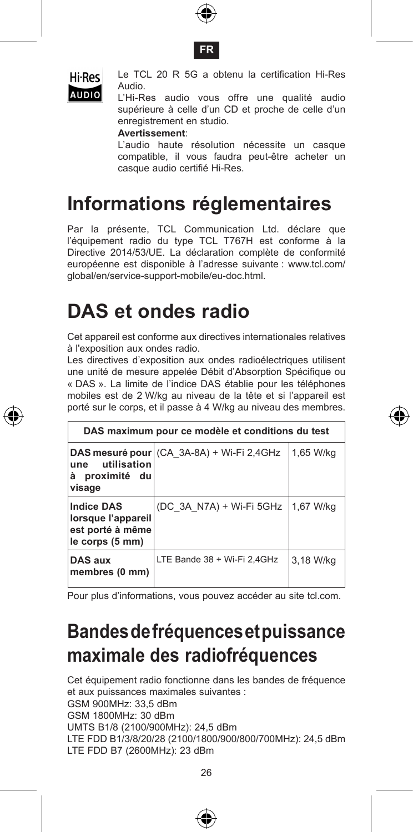





 Le TCL 20 R 5G a obtenu la certification Hi-Res Audio.

AUDIO Hudio.<br>L'Hi-Res audio vous offre une qualité audio supérieure à celle d'un CD et proche de celle d'un enregistrement en studio.

**Avertissement**:

 L'audio haute résolution nécessite un casque compatible, il vous faudra peut-être acheter un casque audio certifié Hi-Res.

### **Informations réglementaires**

Par la présente, TCL Communication Ltd. déclare que l'équipement radio du type TCL T767H est conforme à la Directive 2014/53/UE. La déclaration complète de conformité européenne est disponible à l'adresse suivante : www.tcl.com/ global/en/service-support-mobile/eu-doc.html.

### **DAS et ondes radio**

Cet appareil est conforme aux directives internationales relatives à l'exposition aux ondes radio.

Les directives d'exposition aux ondes radioélectriques utilisent une unité de mesure appelée Débit d'Absorption Spécifique ou « DAS ». La limite de l'indice DAS établie pour les téléphones mobiles est de 2 W/kg au niveau de la tête et si l'appareil est porté sur le corps, et il passe à 4 W/kg au niveau des membres.

|                                                                                | DAS maximum pour ce modèle et conditions du test |           |
|--------------------------------------------------------------------------------|--------------------------------------------------|-----------|
| utilisation<br>une<br>à<br>proximité du<br>visage                              | DAS mesuré pour (CA 3A-8A) + Wi-Fi 2,4GHz        | 1.65 W/ka |
| <b>Indice DAS</b><br>lorsque l'appareil<br>est porté à même<br>le corps (5 mm) | (DC 3A N7A) + Wi-Fi 5GHz                         | 1.67 W/ka |
| DAS aux<br>membres (0 mm)                                                      | LTE Bande 38 + Wi-Fi 2.4GHz                      | 3.18 W/ka |

Pour plus d'informations, vous pouvez accéder au site tcl.com.

### **Bandes de fréquences et puissance maximale des radiofréquences**

Cet équipement radio fonctionne dans les bandes de fréquence et aux puissances maximales suivantes : GSM 900MHz: 33,5 dBm GSM 1800MHz: 30 dBm UMTS B1/8 (2100/900MHz): 24,5 dBm LTE FDD B1/3/8/20/28 (2100/1800/900/800/700MHz): 24,5 dBm LTE FDD B7 (2600MHz): 23 dBm





€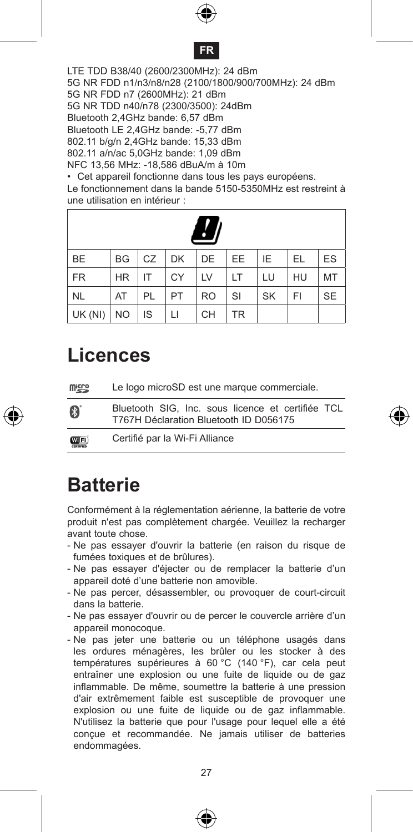



LTE TDD B38/40 (2600/2300MHz): 24 dBm 5G NR FDD n1/n3/n8/n28 (2100/1800/900/700MHz): 24 dBm 5G NR FDD n7 (2600MHz): 21 dBm 5G NR TDD n40/n78 (2300/3500): 24dBm Bluetooth 2,4GHz bande: 6,57 dBm Bluetooth LE 2,4GHz bande: -5,77 dBm 802.11 b/g/n 2,4GHz bande: 15,33 dBm 802.11 a/n/ac 5,0GHz bande: 1,09 dBm NFC 13,56 MHz: -18,586 dBuA/m à 10m

• Cet appareil fonctionne dans tous les pays européens. Le fonctionnement dans la bande 5150-5350MHz est restreint à une utilisation en intérieur :

| <b>BE</b>   |           |           |    | BG CZ DK DE EE |           | IE        | EL | ES        |
|-------------|-----------|-----------|----|----------------|-----------|-----------|----|-----------|
| <b>FR</b>   | <b>HR</b> | IT.       | CY | <b>LV</b>      | <b>LT</b> | LU        | HU | MT        |
| NL.         | AT        | PL        | PT | RO             | SI        | <b>SK</b> | FI | <b>SE</b> |
| $UK(NI)$ NO |           | <b>IS</b> | LI | CH             | <b>TR</b> |           |    |           |

#### **Licences**

| <b>Wick</b>               | Le logo microSD est une marque commerciale.                                                 |
|---------------------------|---------------------------------------------------------------------------------------------|
| B                         | Bluetooth SIG. Inc. sous licence et certifiée TCL<br>T767H Déclaration Bluetooth ID D056175 |
| <b>COTFI)</b><br>70000000 | Certifié par la Wi-Fi Alliance                                                              |

#### **Batterie**

Conformément à la réglementation aérienne, la batterie de votre produit n'est pas complètement chargée. Veuillez la recharger avant toute chose.

- Ne pas essayer d'ouvrir la batterie (en raison du risque de fumées toxiques et de brûlures).
- Ne pas essayer d'éjecter ou de remplacer la batterie d'un appareil doté d'une batterie non amovible.
- Ne pas percer, désassembler, ou provoquer de court-circuit dans la batterie.
- Ne pas essayer d'ouvrir ou de percer le couvercle arrière d'un appareil monocoque.
- Ne pas jeter une batterie ou un téléphone usagés dans les ordures ménagères, les brûler ou les stocker à des températures supérieures à 60 °C (140 °F), car cela peut entraîner une explosion ou une fuite de liquide ou de gaz inflammable. De même, soumettre la batterie à une pression d'air extrêmement faible est susceptible de provoquer une explosion ou une fuite de liquide ou de gaz inflammable. N'utilisez la batterie que pour l'usage pour lequel elle a été conçue et recommandée. Ne jamais utiliser de batteries endommagées.





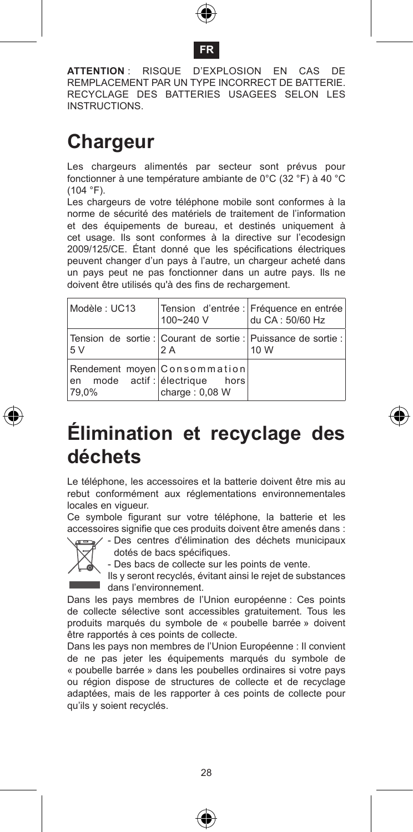

#### **FR**

**ATTENTION** : RISQUE D'EXPLOSION EN CAS DE REMPLACEMENT PAR UN TYPE INCORRECT DE BATTERIE. RECYCLAGE DES BATTERIES USAGEES SELON LES INSTRUCTIONS.

### **Chargeur**

Les chargeurs alimentés par secteur sont prévus pour fonctionner à une température ambiante de 0°C (32 °F) à 40 °C  $(104 °F)$ .

Les chargeurs de votre téléphone mobile sont conformes à la norme de sécurité des matériels de traitement de l'information et des équipements de bureau, et destinés uniquement à cet usage. Ils sont conformes à la directive sur l'ecodesign 2009/125/CE. Étant donné que les spécifications électriques peuvent changer d'un pays à l'autre, un chargeur acheté dans un pays peut ne pas fonctionner dans un autre pays. Ils ne doivent être utilisés qu'à des fins de rechargement.

| Modèle : UC13                                                           | 100~240 V        | Tension d'entrée : Fréquence en entrée<br>du CA: 50/60 Hz             |
|-------------------------------------------------------------------------|------------------|-----------------------------------------------------------------------|
| 5V                                                                      | 2A               | Tension de sortie : Courant de sortie : Puissance de sortie :<br>10 W |
| Rendement moyen Consommation<br>en mode actif: electrique hors<br>79.0% | charge: $0.08 W$ |                                                                       |



### **Élimination et recyclage des déchets**

Le téléphone, les accessoires et la batterie doivent être mis au rebut conformément aux réglementations environnementales locales en vigueur.

Ce symbole figurant sur votre téléphone, la batterie et les accessoires signifie que ces produits doivent être amenés dans :  $/$  - Des centres d'élimination des déchets municipaux



dotés de bacs spécifiques.

- Des bacs de collecte sur les points de vente.

Ils y seront recyclés, évitant ainsi le rejet de substances dans l'environnement.

Dans les pays membres de l'Union européenne : Ces points de collecte sélective sont accessibles gratuitement. Tous les produits marqués du symbole de « poubelle barrée » doivent être rapportés à ces points de collecte.

Dans les pays non membres de l'Union Européenne : Il convient de ne pas jeter les équipements marqués du symbole de « poubelle barrée » dans les poubelles ordinaires si votre pays ou région dispose de structures de collecte et de recyclage adaptées, mais de les rapporter à ces points de collecte pour qu'ils y soient recyclés.



⊕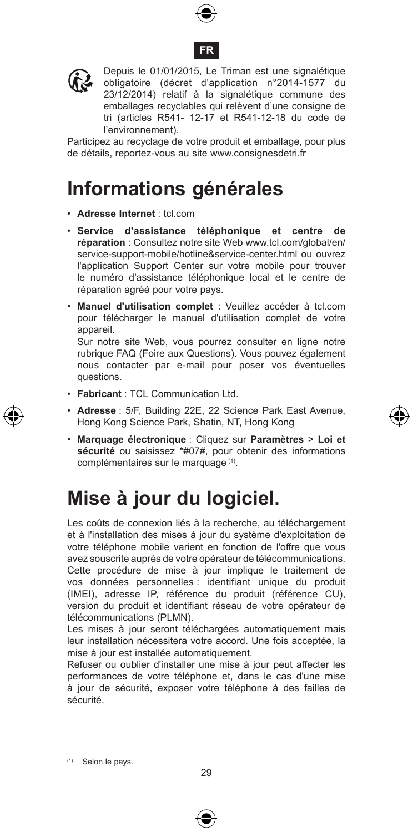





Depuis le 01/01/2015, Le Triman est une signalétique obligatoire (décret d'application n°2014-1577 du 23/12/2014) relatif à la signalétique commune des emballages recyclables qui relèvent d'une consigne de tri (articles R541- 12-17 et R541-12-18 du code de l'environnement).

Participez au recyclage de votre produit et emballage, pour plus de détails, reportez-vous au site www.consignesdetri.fr

### **Informations générales**

- • **Adresse Internet** : tcl.com
- • **Service d'assistance téléphonique et centre de réparation** : Consultez notre site Web www.tcl.com/global/en/ service-support-mobile/hotline&service-center.html ou ouvrez l'application Support Center sur votre mobile pour trouver le numéro d'assistance téléphonique local et le centre de réparation agréé pour votre pays.
- • **Manuel d'utilisation complet** : Veuillez accéder à tcl.com pour télécharger le manuel d'utilisation complet de votre appareil.

Sur notre site Web, vous pourrez consulter en ligne notre rubrique FAQ (Foire aux Questions). Vous pouvez également nous contacter par e-mail pour poser vos éventuelles questions.

- • **Fabricant** : TCL Communication Ltd.
- • **Adresse** : 5/F, Building 22E, 22 Science Park East Avenue, Hong Kong Science Park, Shatin, NT, Hong Kong
- • **Marquage électronique** : Cliquez sur **Paramètres** > **Loi et sécurité** ou saisissez \*#07#, pour obtenir des informations complémentaires sur le marquage (1).

### **Mise à jour du logiciel.**

Les coûts de connexion liés à la recherche, au téléchargement et à l'installation des mises à jour du système d'exploitation de votre téléphone mobile varient en fonction de l'offre que vous avez souscrite auprès de votre opérateur de télécommunications. Cette procédure de mise à jour implique le traitement de vos données personnelles : identifiant unique du produit (IMEI), adresse IP, référence du produit (référence CU), version du produit et identifiant réseau de votre opérateur de télécommunications (PLMN).

Les mises à jour seront téléchargées automatiquement mais leur installation nécessitera votre accord. Une fois acceptée, la mise à jour est installée automatiquement.

Refuser ou oublier d'installer une mise à jour peut affecter les performances de votre téléphone et, dans le cas d'une mise à jour de sécurité, exposer votre téléphone à des failles de sécurité.



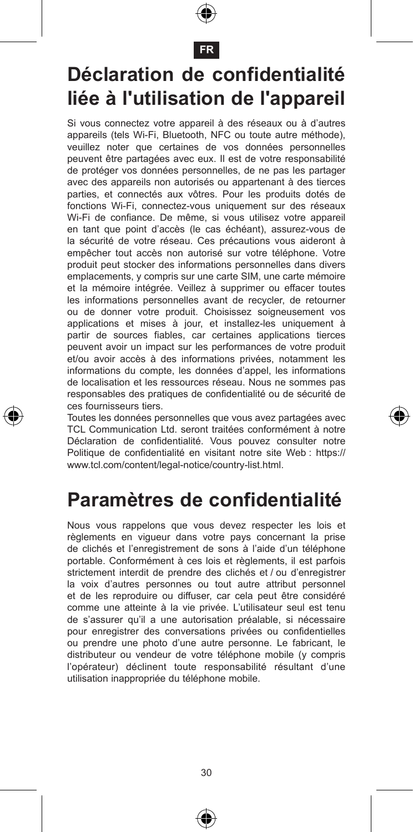

#### **FR**

### **Déclaration de confidentialité liée à l'utilisation de l'appareil**

Si vous connectez votre appareil à des réseaux ou à d'autres appareils (tels Wi-Fi, Bluetooth, NFC ou toute autre méthode), veuillez noter que certaines de vos données personnelles peuvent être partagées avec eux. Il est de votre responsabilité de protéger vos données personnelles, de ne pas les partager avec des appareils non autorisés ou appartenant à des tierces parties, et connectés aux vôtres. Pour les produits dotés de fonctions Wi-Fi, connectez-vous uniquement sur des réseaux Wi-Fi de confiance. De même, si vous utilisez votre appareil en tant que point d'accès (le cas échéant), assurez-vous de la sécurité de votre réseau. Ces précautions vous aideront à empêcher tout accès non autorisé sur votre téléphone. Votre produit peut stocker des informations personnelles dans divers emplacements, y compris sur une carte SIM, une carte mémoire et la mémoire intégrée. Veillez à supprimer ou effacer toutes les informations personnelles avant de recycler, de retourner ou de donner votre produit. Choisissez soigneusement vos applications et mises à jour, et installez-les uniquement à partir de sources fiables, car certaines applications tierces peuvent avoir un impact sur les performances de votre produit et/ou avoir accès à des informations privées, notamment les informations du compte, les données d'appel, les informations de localisation et les ressources réseau. Nous ne sommes pas responsables des pratiques de confidentialité ou de sécurité de ces fournisseurs tiers.

Toutes les données personnelles que vous avez partagées avec TCL Communication Ltd. seront traitées conformément à notre Déclaration de confidentialité. Vous pouvez consulter notre Politique de confidentialité en visitant notre site Web : https:// www.tcl.com/content/legal-notice/country-list.html.

#### **Paramètres de confidentialité**

Nous vous rappelons que vous devez respecter les lois et règlements en vigueur dans votre pays concernant la prise de clichés et l'enregistrement de sons à l'aide d'un téléphone portable. Conformément à ces lois et règlements, il est parfois strictement interdit de prendre des clichés et / ou d'enregistrer la voix d'autres personnes ou tout autre attribut personnel et de les reproduire ou diffuser, car cela peut être considéré comme une atteinte à la vie privée. L'utilisateur seul est tenu de s'assurer qu'il a une autorisation préalable, si nécessaire pour enregistrer des conversations privées ou confidentielles ou prendre une photo d'une autre personne. Le fabricant, le distributeur ou vendeur de votre téléphone mobile (y compris l'opérateur) déclinent toute responsabilité résultant d'une utilisation inappropriée du téléphone mobile.



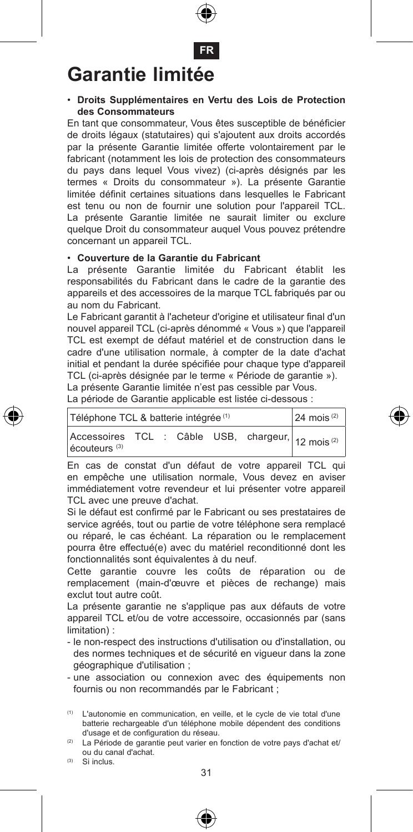

# **Garantie limitée**

#### • **Droits Supplémentaires en Vertu des Lois de Protection des Consommateurs**

En tant que consommateur, Vous êtes susceptible de bénéficier de droits légaux (statutaires) qui s'ajoutent aux droits accordés par la présente Garantie limitée offerte volontairement par le fabricant (notamment les lois de protection des consommateurs du pays dans lequel Vous vivez) (ci-après désignés par les termes « Droits du consommateur »). La présente Garantie limitée définit certaines situations dans lesquelles le Fabricant est tenu ou non de fournir une solution pour l'appareil TCL. La présente Garantie limitée ne saurait limiter ou exclure quelque Droit du consommateur auquel Vous pouvez prétendre concernant un appareil TCL.

#### • **Couverture de la Garantie du Fabricant**

La présente Garantie limitée du Fabricant établit les responsabilités du Fabricant dans le cadre de la garantie des appareils et des accessoires de la marque TCL fabriqués par ou au nom du Fabricant.

Le Fabricant garantit à l'acheteur d'origine et utilisateur final d'un nouvel appareil TCL (ci-après dénommé « Vous ») que l'appareil TCL est exempt de défaut matériel et de construction dans le cadre d'une utilisation normale, à compter de la date d'achat initial et pendant la durée spécifiée pour chaque type d'appareil TCL (ci-après désignée par le terme « Période de garantie »).

La présente Garantie limitée n'est pas cessible par Vous.

La période de Garantie applicable est listée ci-dessous :

| Téléphone TCL & batterie intégrée <sup>(1)</sup>                                          | $24$ mois <sup>(2)</sup> |  |  |  |  |  |
|-------------------------------------------------------------------------------------------|--------------------------|--|--|--|--|--|
| Accessoires TCL : Câble USB, chargeur, 12 mois <sup>(2)</sup><br>écouteurs <sup>(3)</sup> |                          |  |  |  |  |  |

En cas de constat d'un défaut de votre appareil TCL qui en empêche une utilisation normale, Vous devez en aviser immédiatement votre revendeur et lui présenter votre appareil TCL avec une preuve d'achat.

Si le défaut est confirmé par le Fabricant ou ses prestataires de service agréés, tout ou partie de votre téléphone sera remplacé ou réparé, le cas échéant. La réparation ou le remplacement pourra être effectué(e) avec du matériel reconditionné dont les fonctionnalités sont équivalentes à du neuf.

Cette garantie couvre les coûts de réparation ou de remplacement (main-d'œuvre et pièces de rechange) mais exclut tout autre coût.

La présente garantie ne s'applique pas aux défauts de votre appareil TCL et/ou de votre accessoire, occasionnés par (sans limitation) :

- le non-respect des instructions d'utilisation ou d'installation, ou des normes techniques et de sécurité en vigueur dans la zone géographique d'utilisation ;
- une association ou connexion avec des équipements non fournis ou non recommandés par le Fabricant ;

(1) L'autonomie en communication, en veille, et le cycle de vie total d'une batterie rechargeable d'un téléphone mobile dépendent des conditions d'usage et de configuration du réseau.

- (2) La Période de garantie peut varier en fonction de votre pays d'achat et/ ou du canal d'achat.
- (3) Si inclus.

€



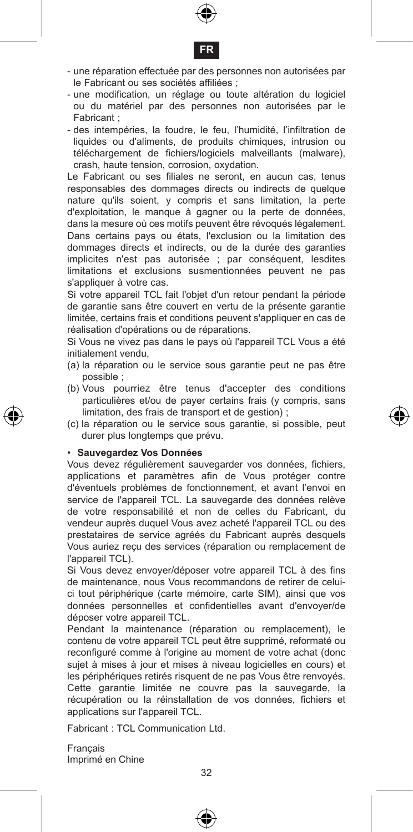



- une réparation effectuée par des personnes non autorisées par le Fabricant ou ses sociétés affiliées ;
- une modification, un réglage ou toute altération du logiciel ou du matériel par des personnes non autorisées par le Fabricant ;
- des intempéries, la foudre, le feu, l'humidité, l'infiltration de liquides ou d'aliments, de produits chimiques, intrusion ou téléchargement de fichiers/logiciels malveillants (malware), crash, haute tension, corrosion, oxydation.

Le Fabricant ou ses filiales ne seront, en aucun cas, tenus responsables des dommages directs ou indirects de quelque nature qu'ils soient, y compris et sans limitation, la perte d'exploitation, le manque à gagner ou la perte de données, dans la mesure où ces motifs peuvent être révoqués légalement. Dans certains pays ou états, l'exclusion ou la limitation des dommages directs et indirects, ou de la durée des garanties implicites n'est pas autorisée ; par conséquent, lesdites limitations et exclusions susmentionnées peuvent ne pas s'appliquer à votre cas.

Si votre appareil TCL fait l'objet d'un retour pendant la période de garantie sans être couvert en vertu de la présente garantie limitée, certains frais et conditions peuvent s'appliquer en cas de réalisation d'opérations ou de réparations.

Si Vous ne vivez pas dans le pays où l'appareil TCL Vous a été initialement vendu,

- (a) la réparation ou le service sous garantie peut ne pas être possible ;
- (b) Vous pourriez être tenus d'accepter des conditions particulières et/ou de payer certains frais (y compris, sans limitation, des frais de transport et de gestion) ;
- (c) la réparation ou le service sous garantie, si possible, peut durer plus longtemps que prévu.

#### • **Sauvegardez Vos Données**

Vous devez régulièrement sauvegarder vos données, fichiers, applications et paramètres afin de Vous protéger contre d'éventuels problèmes de fonctionnement, et avant l'envoi en service de l'appareil TCL. La sauvegarde des données relève de votre responsabilité et non de celles du Fabricant, du vendeur auprès duquel Vous avez acheté l'appareil TCL ou des prestataires de service agréés du Fabricant auprès desquels Vous auriez reçu des services (réparation ou remplacement de l'appareil TCL).

Si Vous devez envoyer/déposer votre appareil TCL à des fins de maintenance, nous Vous recommandons de retirer de celuici tout périphérique (carte mémoire, carte SIM), ainsi que vos données personnelles et confidentielles avant d'envoyer/de déposer votre appareil TCL.

Pendant la maintenance (réparation ou remplacement), le contenu de votre appareil TCL peut être supprimé, reformaté ou reconfiguré comme à l'origine au moment de votre achat (donc sujet à mises à jour et mises à niveau logicielles en cours) et les périphériques retirés risquent de ne pas Vous être renvoyés. Cette garantie limitée ne couvre pas la sauvegarde, la récupération ou la réinstallation de vos données, fichiers et applications sur l'appareil TCL.

Fabricant : TCL Communication Ltd.

Français Imprimé en Chine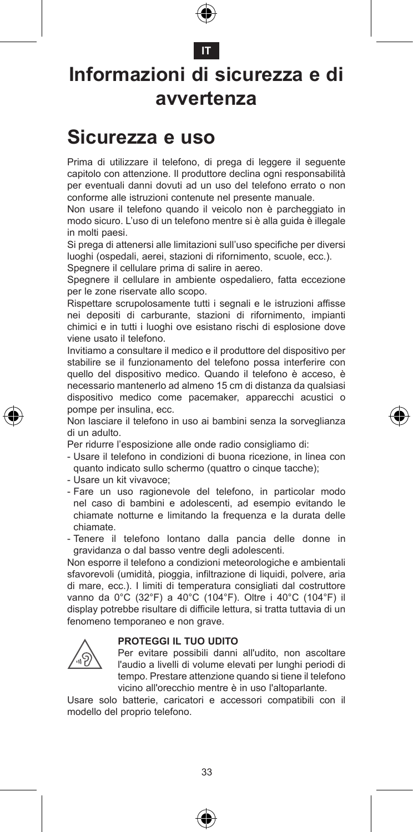

#### **IT**

### **Informazioni di sicurezza e di avvertenza**

#### **Sicurezza e uso**

Prima di utilizzare il telefono, di prega di leggere il seguente capitolo con attenzione. Il produttore declina ogni responsabilità per eventuali danni dovuti ad un uso del telefono errato o non conforme alle istruzioni contenute nel presente manuale.

Non usare il telefono quando il veicolo non è parcheggiato in modo sicuro. L'uso di un telefono mentre si è alla guida è illegale in molti paesi.

Si prega di attenersi alle limitazioni sull'uso specifiche per diversi luoghi (ospedali, aerei, stazioni di rifornimento, scuole, ecc.). Spegnere il cellulare prima di salire in aereo.

Spegnere il cellulare in ambiente ospedaliero, fatta eccezione

per le zone riservate allo scopo.

Rispettare scrupolosamente tutti i segnali e le istruzioni affisse nei depositi di carburante, stazioni di rifornimento, impianti chimici e in tutti i luoghi ove esistano rischi di esplosione dove viene usato il telefono.

Invitiamo a consultare il medico e il produttore del dispositivo per stabilire se il funzionamento del telefono possa interferire con quello del dispositivo medico. Quando il telefono è acceso, è necessario mantenerlo ad almeno 15 cm di distanza da qualsiasi dispositivo medico come pacemaker, apparecchi acustici o pompe per insulina, ecc.

Non lasciare il telefono in uso ai bambini senza la sorveglianza di un adulto.

Per ridurre l'esposizione alle onde radio consigliamo di:

- Usare il telefono in condizioni di buona ricezione, in linea con quanto indicato sullo schermo (quattro o cinque tacche);
- Usare un kit vivavoce;
- Fare un uso ragionevole del telefono, in particolar modo nel caso di bambini e adolescenti, ad esempio evitando le chiamate notturne e limitando la frequenza e la durata delle chiamate.
- Tenere il telefono lontano dalla pancia delle donne in gravidanza o dal basso ventre degli adolescenti.

Non esporre il telefono a condizioni meteorologiche e ambientali sfavorevoli (umidità, pioggia, infiltrazione di liquidi, polvere, aria di mare, ecc.). I limiti di temperatura consigliati dal costruttore vanno da 0°C (32°F) a 40°C (104°F). Oltre i 40°C (104°F) il display potrebbe risultare di difficile lettura, si tratta tuttavia di un fenomeno temporaneo e non grave.

#### **PROTEGGI IL TUO UDITO**



 Per evitare possibili danni all'udito, non ascoltare l'audio a livelli di volume elevati per lunghi periodi di tempo. Prestare attenzione quando si tiene il telefono vicino all'orecchio mentre è in uso l'altoparlante.

Usare solo batterie, caricatori e accessori compatibili con il modello del proprio telefono.



€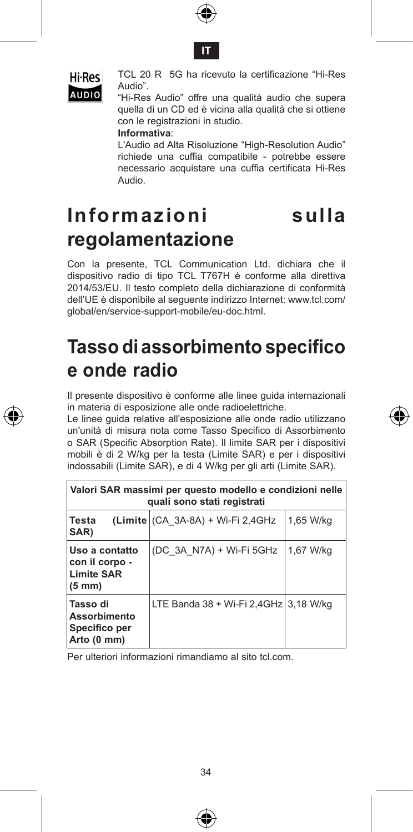





 TCL 20 R 5G ha ricevuto la certificazione "Hi-Res Audio".

AUDIO "Hi-Res Audio" offre una qualità audio che supera quella di un CD ed è vicina alla qualità che si ottiene con le registrazioni in studio.

**Informativa**:

 L'Audio ad Alta Risoluzione "High-Resolution Audio" richiede una cuffia compatibile - potrebbe essere necessario acquistare una cuffia certificata Hi-Res Audio.

### **Informazioni sulla regolamentazione**

Con la presente, TCL Communication Ltd. dichiara che il dispositivo radio di tipo TCL T767H è conforme alla direttiva 2014/53/EU. Il testo completo della dichiarazione di conformità dell'UE è disponibile al seguente indirizzo Internet: www.tcl.com/ global/en/service-support-mobile/eu-doc.html.

#### **Tasso di assorbimento specifico e onde radio**

Il presente dispositivo è conforme alle linee guida internazionali in materia di esposizione alle onde radioelettriche.

Le linee guida relative all'esposizione alle onde radio utilizzano un'unità di misura nota come Tasso Specifico di Assorbimento o SAR (Specific Absorption Rate). Il limite SAR per i dispositivi mobili è di 2 W/kg per la testa (Limite SAR) e per i dispositivi indossabili (Limite SAR), e di 4 W/kg per gli arti (Limite SAR).

| Valori SAR massimi per questo modello e condizioni nelle<br>quali sono stati registrati |                                       |           |  |  |  |  |
|-----------------------------------------------------------------------------------------|---------------------------------------|-----------|--|--|--|--|
| Testa<br>SAR)                                                                           | (Limite (CA 3A-8A) + Wi-Fi 2,4GHz     | 1,65 W/kg |  |  |  |  |
| Uso a contatto<br>con il corpo -<br><b>Limite SAR</b><br>$(5 \text{ mm})$               | (DC 3A N7A) + Wi-Fi 5GHz              | 1.67 W/ka |  |  |  |  |
| Tasso di<br>Assorbimento<br>Specifico per<br>Arto (0 mm)                                | LTE Banda 38 + Wi-Fi 2.4GHz 3.18 W/kg |           |  |  |  |  |

Per ulteriori informazioni rimandiamo al sito tcl.com.



€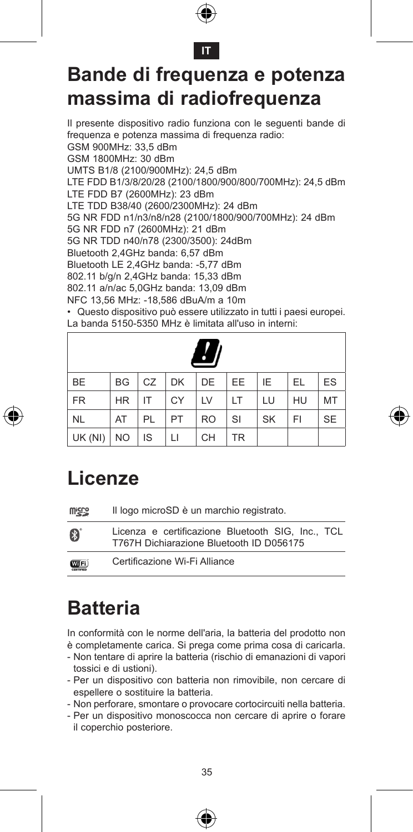



### **Bande di frequenza e potenza massima di radiofrequenza**

Il presente dispositivo radio funziona con le seguenti bande di frequenza e potenza massima di frequenza radio: GSM 900MHz: 33,5 dBm GSM 1800MHz: 30 dBm UMTS B1/8 (2100/900MHz): 24,5 dBm LTE FDD B1/3/8/20/28 (2100/1800/900/800/700MHz): 24,5 dBm LTE FDD B7 (2600MHz): 23 dBm LTE TDD B38/40 (2600/2300MHz): 24 dBm 5G NR FDD n1/n3/n8/n28 (2100/1800/900/700MHz): 24 dBm 5G NR FDD n7 (2600MHz): 21 dBm 5G NR TDD n40/n78 (2300/3500): 24dBm Bluetooth 2,4GHz banda: 6,57 dBm Bluetooth LE 2,4GHz banda: -5,77 dBm 802.11 b/g/n 2,4GHz banda: 15,33 dBm 802.11 a/n/ac 5,0GHz banda: 13,09 dBm NFC 13,56 MHz: -18,586 dBuA/m a 10m • Questo dispositivo può essere utilizzato in tutti i paesi europei.

La banda 5150-5350 MHz è limitata all'uso in interni:

|           |           |         |    | $\boldsymbol{q}$ |           |           |    |           |
|-----------|-----------|---------|----|------------------|-----------|-----------|----|-----------|
| <b>BE</b> | BG        | $CZ$ DK |    | DE               | EE.       | IE        | EL | ES        |
| <b>FR</b> | <b>HR</b> | IT      | CY | LV               | LT        | LU        | HU | MT        |
| <b>NL</b> | AT        | PL      | PT | <b>RO</b>        | SI        | <b>SK</b> | FI | <b>SE</b> |
| UK (NI)   | <b>NO</b> | IS      | П  | <b>CH</b>        | <b>TR</b> |           |    |           |



| <b>Wicco</b> | Il logo microSD è un marchio registrato.                                                      |
|--------------|-----------------------------------------------------------------------------------------------|
| 8            | Licenza e certificazione Bluetooth SIG. Inc., TCL<br>T767H Dichiarazione Bluetooth ID D056175 |
| <b>WIFi</b>  | Certificazione Wi-Fi Alliance                                                                 |

### **Batteria**

In conformità con le norme dell'aria, la batteria del prodotto non è completamente carica. Si prega come prima cosa di caricarla.

- Non tentare di aprire la batteria (rischio di emanazioni di vapori tossici e di ustioni).
- Per un dispositivo con batteria non rimovibile, non cercare di espellere o sostituire la batteria.
- Non perforare, smontare o provocare cortocircuiti nella batteria.
- Per un dispositivo monoscocca non cercare di aprire o forare il coperchio posteriore.





⊕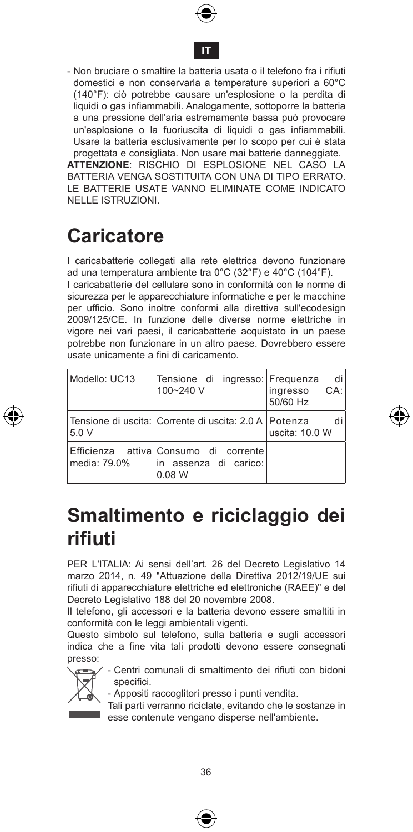



- Non bruciare o smaltire la batteria usata o il telefono fra i rifiuti domestici e non conservarla a temperature superiori a 60°C (140°F): ciò potrebbe causare un'esplosione o la perdita di liquidi o gas infiammabili. Analogamente, sottoporre la batteria a una pressione dell'aria estremamente bassa può provocare un'esplosione o la fuoriuscita di liquidi o gas infiammabili. Usare la batteria esclusivamente per lo scopo per cui è stata progettata e consigliata. Non usare mai batterie danneggiate.

**ATTENZIONE**: RISCHIO DI ESPLOSIONE NEL CASO LA BATTERIA VENGA SOSTITUITA CON UNA DI TIPO ERRATO. LE BATTERIE USATE VANNO ELIMINATE COME INDICATO NELLE ISTRUZIONI.

### **Caricatore**

I caricabatterie collegati alla rete elettrica devono funzionare ad una temperatura ambiente tra 0°C (32°F) e 40°C (104°F).

I caricabatterie del cellulare sono in conformità con le norme di sicurezza per le apparecchiature informatiche e per le macchine per ufficio. Sono inoltre conformi alla direttiva sull'ecodesign 2009/125/CE. In funzione delle diverse norme elettriche in vigore nei vari paesi, il caricabatterie acquistato in un paese potrebbe non funzionare in un altro paese. Dovrebbero essere usate unicamente a fini di caricamento.

| Modello: UC13 | Tensione di ingresso: Frequenza<br>100~240 V                             | di<br>CA:<br>inaresso<br>50/60 Hz |
|---------------|--------------------------------------------------------------------------|-----------------------------------|
| 5.0V          | l Tensione di uscita: l Corrente di uscita: 2.0 A l Potenza              | uscita: 10.0 W                    |
| media: 79.0%  | Efficienza attivalConsumo di corrente<br>in assenza di carico:<br>0.08 W |                                   |

### **Smaltimento e riciclaggio dei rifiuti**

PER L'ITALIA: Ai sensi dell'art. 26 del Decreto Legislativo 14 marzo 2014, n. 49 "Attuazione della Direttiva 2012/19/UE sui rifiuti di apparecchiature elettriche ed elettroniche (RAEE)" e del Decreto Legislativo 188 del 20 novembre 2008.

Il telefono, gli accessori e la batteria devono essere smaltiti in conformità con le leggi ambientali vigenti.

Questo simbolo sul telefono, sulla batteria e sugli accessori indica che a fine vita tali prodotti devono essere consegnati presso:



- Centri comunali di smaltimento dei rifiuti con bidoni specifici.

- Appositi raccoglitori presso i punti vendita.

Tali parti verranno riciclate, evitando che le sostanze in esse contenute vengano disperse nell'ambiente.





€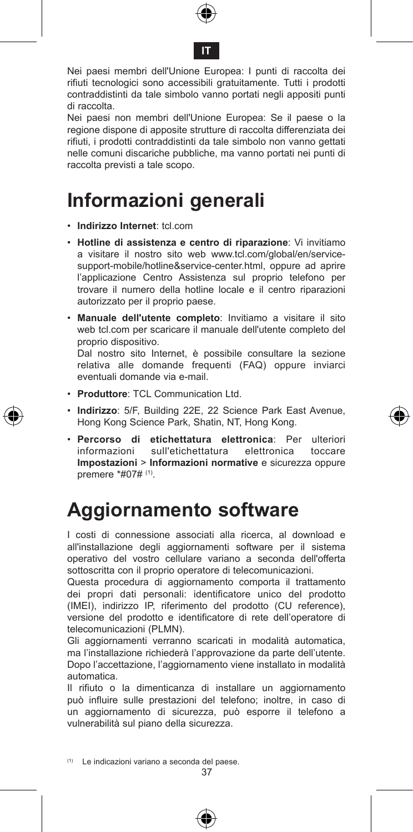



Nei paesi membri dell'Unione Europea: I punti di raccolta dei rifiuti tecnologici sono accessibili gratuitamente. Tutti i prodotti contraddistinti da tale simbolo vanno portati negli appositi punti di raccolta.

Nei paesi non membri dell'Unione Europea: Se il paese o la regione dispone di apposite strutture di raccolta differenziata dei rifiuti, i prodotti contraddistinti da tale simbolo non vanno gettati nelle comuni discariche pubbliche, ma vanno portati nei punti di raccolta previsti a tale scopo.

#### **Informazioni generali**

- • **Indirizzo Internet**: tcl.com
- • **Hotline di assistenza e centro di riparazione**: Vi invitiamo a visitare il nostro sito web www.tcl.com/global/en/servicesupport-mobile/hotline&service-center.html, oppure ad aprire l'applicazione Centro Assistenza sul proprio telefono per trovare il numero della hotline locale e il centro riparazioni autorizzato per il proprio paese.
- • **Manuale dell'utente completo**: Invitiamo a visitare il sito web tcl.com per scaricare il manuale dell'utente completo del proprio dispositivo.

Dal nostro sito Internet, è possibile consultare la sezione relativa alle domande frequenti (FAQ) oppure inviarci eventuali domande via e-mail.

- • **Produttore**: TCL Communication Ltd.
- • **Indirizzo**: 5/F, Building 22E, 22 Science Park East Avenue, Hong Kong Science Park, Shatin, NT, Hong Kong.
- • **Percorso di etichettatura elettronica**: Per ulteriori sull'etichettatura **Impostazioni** > **Informazioni normative** e sicurezza oppure premere \*#07# (1).

#### **Aggiornamento software**

I costi di connessione associati alla ricerca, al download e all'installazione degli aggiornamenti software per il sistema operativo del vostro cellulare variano a seconda dell'offerta sottoscritta con il proprio operatore di telecomunicazioni.

Questa procedura di aggiornamento comporta il trattamento dei propri dati personali: identificatore unico del prodotto (IMEI), indirizzo IP, riferimento del prodotto (CU reference), versione del prodotto e identificatore di rete dell'operatore di telecomunicazioni (PLMN).

Gli aggiornamenti verranno scaricati in modalità automatica, ma l'installazione richiederà l'approvazione da parte dell'utente. Dopo l'accettazione, l'aggiornamento viene installato in modalità automatica.

Il rifiuto o la dimenticanza di installare un aggiornamento può influire sulle prestazioni del telefono; inoltre, in caso di un aggiornamento di sicurezza, può esporre il telefono a vulnerabilità sul piano della sicurezza.

(1) Le indicazioni variano a seconda del paese.

37

۸



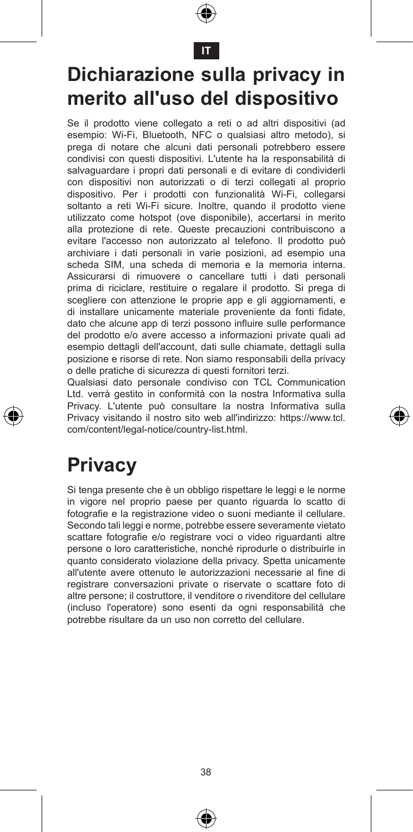

**IT**

### **Dichiarazione sulla privacy in merito all'uso del dispositivo**

Se il prodotto viene collegato a reti o ad altri dispositivi (ad esempio: Wi-Fi, Bluetooth, NFC o qualsiasi altro metodo), si prega di notare che alcuni dati personali potrebbero essere condivisi con questi dispositivi. L'utente ha la responsabilità di salvaguardare i propri dati personali e di evitare di condividerli con dispositivi non autorizzati o di terzi collegati al proprio dispositivo. Per i prodotti con funzionalità Wi-Fi, collegarsi soltanto a reti Wi-Fi sicure. Inoltre, quando il prodotto viene utilizzato come hotspot (ove disponibile), accertarsi in merito alla protezione di rete. Queste precauzioni contribuiscono a evitare l'accesso non autorizzato al telefono. Il prodotto può archiviare i dati personali in varie posizioni, ad esempio una scheda SIM, una scheda di memoria e la memoria interna. Assicurarsi di rimuovere o cancellare tutti i dati personali prima di riciclare, restituire o regalare il prodotto. Si prega di scegliere con attenzione le proprie app e gli aggiornamenti, e di installare unicamente materiale proveniente da fonti fidate, dato che alcune app di terzi possono influire sulle performance del prodotto e/o avere accesso a informazioni private quali ad esempio dettagli dell'account, dati sulle chiamate, dettagli sulla posizione e risorse di rete. Non siamo responsabili della privacy o delle pratiche di sicurezza di questi fornitori terzi.

Qualsiasi dato personale condiviso con TCL Communication Ltd. verrà gestito in conformità con la nostra Informativa sulla Privacy. L'utente può consultare la nostra Informativa sulla Privacy visitando il nostro sito web all'indirizzo: https://www.tcl. com/content/legal-notice/country-list.html.

#### **Privacy**

Si tenga presente che è un obbligo rispettare le leggi e le norme in vigore nel proprio paese per quanto riguarda lo scatto di fotografie e la registrazione video o suoni mediante il cellulare. Secondo tali leggi e norme, potrebbe essere severamente vietato scattare fotografie e/o registrare voci o video riguardanti altre persone o loro caratteristiche, nonché riprodurle o distribuirle in quanto considerato violazione della privacy. Spetta unicamente all'utente avere ottenuto le autorizzazioni necessarie al fine di registrare conversazioni private o riservate o scattare foto di altre persone; il costruttore, il venditore o rivenditore del cellulare (incluso l'operatore) sono esenti da ogni responsabilità che potrebbe risultare da un uso non corretto del cellulare.





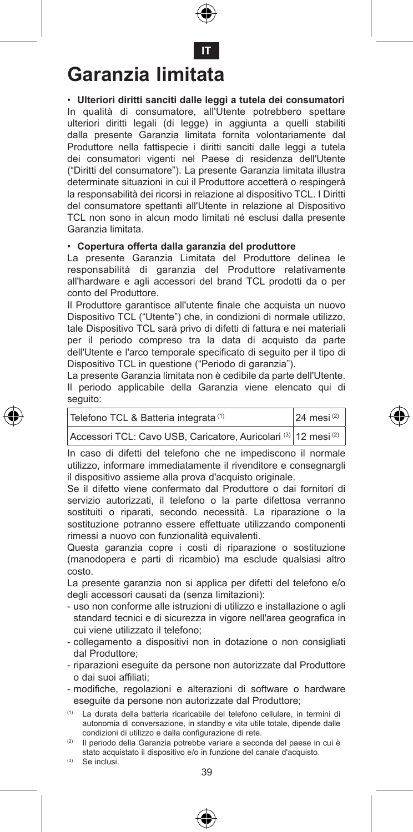

**IT**

#### **Garanzia limitata**

• **Ulteriori diritti sanciti dalle leggi a tutela dei consumatori** In qualità di consumatore, all'Utente potrebbero spettare ulteriori diritti legali (di legge) in aggiunta a quelli stabiliti dalla presente Garanzia limitata fornita volontariamente dal Produttore nella fattispecie i diritti sanciti dalle leggi a tutela dei consumatori vigenti nel Paese di residenza dell'Utente ("Diritti del consumatore"). La presente Garanzia limitata illustra determinate situazioni in cui il Produttore accetterà o respingerà la responsabilità dei ricorsi in relazione al dispositivo TCL. I Diritti del consumatore spettanti all'Utente in relazione al Dispositivo TCL non sono in alcun modo limitati né esclusi dalla presente Garanzia limitata.

#### • **Copertura offerta dalla garanzia del produttore**

La presente Garanzia Limitata del Produttore delinea le responsabilità di garanzia del Produttore relativamente all'hardware e agli accessori del brand TCL prodotti da o per conto del Produttore.

Il Produttore garantisce all'utente finale che acquista un nuovo Dispositivo TCL ("Utente") che, in condizioni di normale utilizzo, tale Dispositivo TCL sarà privo di difetti di fattura e nei materiali per il periodo compreso tra la data di acquisto da parte dell'Utente e l'arco temporale specificato di seguito per il tipo di Dispositivo TCL in questione ("Periodo di garanzia").

La presente Garanzia limitata non è cedibile da parte dell'Utente. Il periodo applicabile della Garanzia viene elencato qui di seguito:

| Telefono TCL & Batteria integrata (1)                           | $24$ mesi <sup>(2)</sup> |
|-----------------------------------------------------------------|--------------------------|
| Accessori TCL: Cavo USB, Caricatore, Auricolari (3) 12 mesi (2) |                          |

In caso di difetti del telefono che ne impediscono il normale utilizzo, informare immediatamente il rivenditore e consegnargli il dispositivo assieme alla prova d'acquisto originale.

Se il difetto viene confermato dal Produttore o dai fornitori di servizio autorizzati, il telefono o la parte difettosa verranno sostituiti o riparati, secondo necessità. La riparazione o la sostituzione potranno essere effettuate utilizzando componenti rimessi a nuovo con funzionalità equivalenti.

Questa garanzia copre i costi di riparazione o sostituzione (manodopera e parti di ricambio) ma esclude qualsiasi altro costo.

La presente garanzia non si applica per difetti del telefono e/o degli accessori causati da (senza limitazioni):

- uso non conforme alle istruzioni di utilizzo e installazione o agli standard tecnici e di sicurezza in vigore nell'area geografica in cui viene utilizzato il telefono;
- collegamento a dispositivi non in dotazione o non consigliati dal Produttore;
- riparazioni eseguite da persone non autorizzate dal Produttore o dai suoi affiliati;
- modifiche, regolazioni e alterazioni di software o hardware eseguite da persone non autorizzate dal Produttore;
- (1) La durata della batteria ricaricabile del telefono cellulare, in termini di autonomia di conversazione, in standby e vita utile totale, dipende dalle condizioni di utilizzo e dalla configurazione di rete.
- (2) Il periodo della Garanzia potrebbe variare a seconda del paese in cui è stato acquistato il dispositivo e/o in funzione del canale d'acquisto.
- (3) Se inclusi.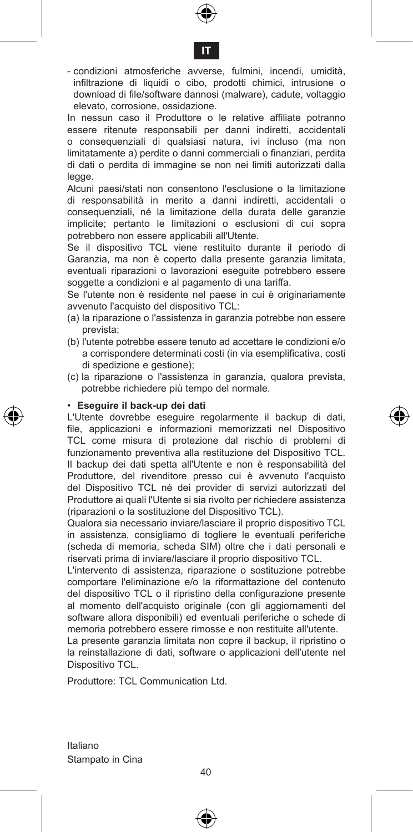



- condizioni atmosferiche avverse, fulmini, incendi, umidità, infiltrazione di liquidi o cibo, prodotti chimici, intrusione o download di file/software dannosi (malware), cadute, voltaggio elevato, corrosione, ossidazione.

In nessun caso il Produttore o le relative affiliate potranno essere ritenute responsabili per danni indiretti, accidentali o consequenziali di qualsiasi natura, ivi incluso (ma non limitatamente a) perdite o danni commerciali o finanziari, perdita di dati o perdita di immagine se non nei limiti autorizzati dalla legge.

Alcuni paesi/stati non consentono l'esclusione o la limitazione di responsabilità in merito a danni indiretti, accidentali o consequenziali, né la limitazione della durata delle garanzie implicite; pertanto le limitazioni o esclusioni di cui sopra potrebbero non essere applicabili all'Utente.

Se il dispositivo TCL viene restituito durante il periodo di Garanzia, ma non è coperto dalla presente garanzia limitata, eventuali riparazioni o lavorazioni eseguite potrebbero essere soggette a condizioni e al pagamento di una tariffa.

Se l'utente non è residente nel paese in cui è originariamente avvenuto l'acquisto del dispositivo TCL:

- (a) la riparazione o l'assistenza in garanzia potrebbe non essere prevista;
- (b) l'utente potrebbe essere tenuto ad accettare le condizioni e/o a corrispondere determinati costi (in via esemplificativa, costi di spedizione e gestione);
- (c) la riparazione o l'assistenza in garanzia, qualora prevista, potrebbe richiedere più tempo del normale.

#### • **Eseguire il back-up dei dati**

L'Utente dovrebbe eseguire regolarmente il backup di dati, file, applicazioni e informazioni memorizzati nel Dispositivo TCL come misura di protezione dal rischio di problemi di funzionamento preventiva alla restituzione del Dispositivo TCL. Il backup dei dati spetta all'Utente e non è responsabilità del Produttore, del rivenditore presso cui è avvenuto l'acquisto del Dispositivo TCL né dei provider di servizi autorizzati del Produttore ai quali l'Utente si sia rivolto per richiedere assistenza (riparazioni o la sostituzione del Dispositivo TCL).

Qualora sia necessario inviare/lasciare il proprio dispositivo TCL in assistenza, consigliamo di togliere le eventuali periferiche (scheda di memoria, scheda SIM) oltre che i dati personali e riservati prima di inviare/lasciare il proprio dispositivo TCL.

L'intervento di assistenza, riparazione o sostituzione potrebbe comportare l'eliminazione e/o la riformattazione del contenuto del dispositivo TCL o il ripristino della configurazione presente al momento dell'acquisto originale (con gli aggiornamenti del software allora disponibili) ed eventuali periferiche o schede di memoria potrebbero essere rimosse e non restituite all'utente.

La presente garanzia limitata non copre il backup, il ripristino o la reinstallazione di dati, software o applicazioni dell'utente nel Dispositivo TCL.

Produttore: TCL Communication Ltd.

Italiano Stampato in Cina

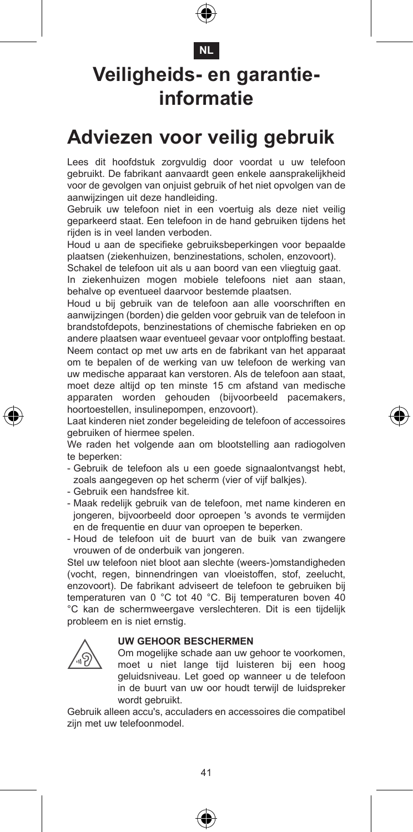#### **NL**

### **Veiligheids- en garantieinformatie**

#### **Adviezen voor veilig gebruik**

Lees dit hoofdstuk zorgvuldig door voordat u uw telefoon gebruikt. De fabrikant aanvaardt geen enkele aansprakelijkheid voor de gevolgen van onjuist gebruik of het niet opvolgen van de aanwijzingen uit deze handleiding.

Gebruik uw telefoon niet in een voertuig als deze niet veilig geparkeerd staat. Een telefoon in de hand gebruiken tijdens het rijden is in veel landen verboden.

Houd u aan de specifieke gebruiksbeperkingen voor bepaalde plaatsen (ziekenhuizen, benzinestations, scholen, enzovoort).

Schakel de telefoon uit als u aan boord van een vliegtuig gaat.

In ziekenhuizen mogen mobiele telefoons niet aan staan, behalve op eventueel daarvoor bestemde plaatsen.

Houd u bij gebruik van de telefoon aan alle voorschriften en aanwijzingen (borden) die gelden voor gebruik van de telefoon in brandstofdepots, benzinestations of chemische fabrieken en op andere plaatsen waar eventueel gevaar voor ontploffing bestaat. Neem contact op met uw arts en de fabrikant van het apparaat om te bepalen of de werking van uw telefoon de werking van uw medische apparaat kan verstoren. Als de telefoon aan staat, moet deze altijd op ten minste 15 cm afstand van medische apparaten worden gehouden (bijvoorbeeld pacemakers, hoortoestellen, insulinepompen, enzovoort).

Laat kinderen niet zonder begeleiding de telefoon of accessoires gebruiken of hiermee spelen.

We raden het volgende aan om blootstelling aan radiogolven te beperken:

- Gebruik de telefoon als u een goede signaalontvangst hebt, zoals aangegeven op het scherm (vier of vijf balkjes).
- Gebruik een handsfree kit.
- Maak redelijk gebruik van de telefoon, met name kinderen en jongeren, bijvoorbeeld door oproepen 's avonds te vermijden en de frequentie en duur van oproepen te beperken.
- Houd de telefoon uit de buurt van de buik van zwangere vrouwen of de onderbuik van jongeren.

Stel uw telefoon niet bloot aan slechte (weers-)omstandigheden (vocht, regen, binnendringen van vloeistoffen, stof, zeelucht, enzovoort). De fabrikant adviseert de telefoon te gebruiken bij temperaturen van 0 °C tot 40 °C. Bij temperaturen boven 40 °C kan de schermweergave verslechteren. Dit is een tijdelijk probleem en is niet ernstig.

#### **UW GEHOOR BESCHERMEN**

 Om mogelijke schade aan uw gehoor te voorkomen, moet u niet lange tijd luisteren bij een hoog geluidsniveau. Let goed op wanneer u de telefoon in de buurt van uw oor houdt terwijl de luidspreker wordt gebruikt.

Gebruik alleen accu's, acculaders en accessoires die compatibel zijn met uw telefoonmodel.





€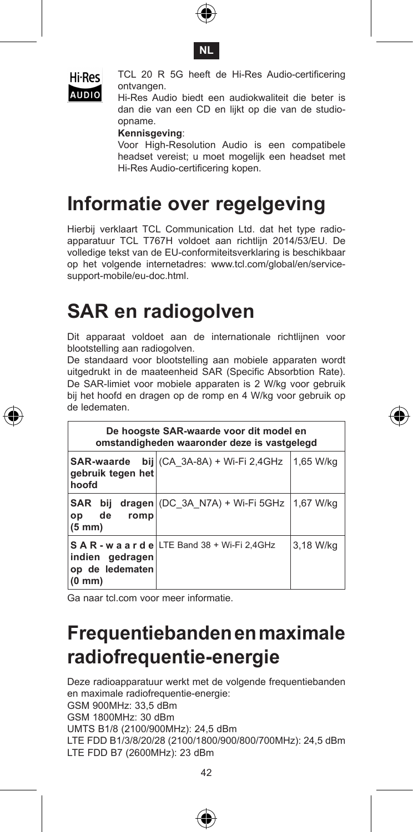





 TCL 20 R 5G heeft de Hi-Res Audio-certificering ontvangen.

AUDIO Hi-Res Audio biedt een audiokwaliteit die beter is dan die van een CD en lijkt op die van de studioopname.

**Kennisgeving**:

 Voor High-Resolution Audio is een compatibele headset vereist; u moet mogelijk een headset met Hi-Res Audio-certificering kopen.

### **Informatie over regelgeving**

Hierbij verklaart TCL Communication Ltd. dat het type radioapparatuur TCL T767H voldoet aan richtlijn 2014/53/EU. De volledige tekst van de EU-conformiteitsverklaring is beschikbaar op het volgende internetadres: www.tcl.com/global/en/servicesupport-mobile/eu-doc.html.

### **SAR en radiogolven**

Dit apparaat voldoet aan de internationale richtlijnen voor blootstelling aan radiogolven.

De standaard voor blootstelling aan mobiele apparaten wordt uitgedrukt in de maateenheid SAR (Specific Absorbtion Rate). De SAR-limiet voor mobiele apparaten is 2 W/kg voor gebruik bij het hoofd en dragen op de romp en 4 W/kg voor gebruik op de ledematen.

| De hoogste SAR-waarde voor dit model en<br>omstandigheden waaronder deze is vastgelegd |                                                |           |  |  |  |  |
|----------------------------------------------------------------------------------------|------------------------------------------------|-----------|--|--|--|--|
| <b>SAR-waarde</b><br>gebruik tegen het<br>hoofd                                        | bij $(CA \ 3A-8A) + Wi-Fi 2,4GHz$              | 1.65 W/ka |  |  |  |  |
| <b>SAR</b><br>bii<br>de<br>romp<br>op<br>$(5 \text{ mm})$                              | $\text{dragen}$ (DC 3A N7A) + Wi-Fi 5GHz       | 1.67 W/ka |  |  |  |  |
| indien gedragen<br>op de ledematen<br>$(0 \text{ mm})$                                 | S A R - w a a r d e LTE Band 38 + Wi-Fi 2,4GHz | 3.18 W/ka |  |  |  |  |

Ga naar tcl.com voor meer informatie.

### **Frequentiebanden en maximale radiofrequentie-energie**

Deze radioapparatuur werkt met de volgende frequentiebanden en maximale radiofrequentie-energie: GSM 900MHz: 33,5 dBm GSM 1800MHz: 30 dBm UMTS B1/8 (2100/900MHz): 24,5 dBm LTE FDD B1/3/8/20/28 (2100/1800/900/800/700MHz): 24,5 dBm LTE FDD B7 (2600MHz): 23 dBm





⊕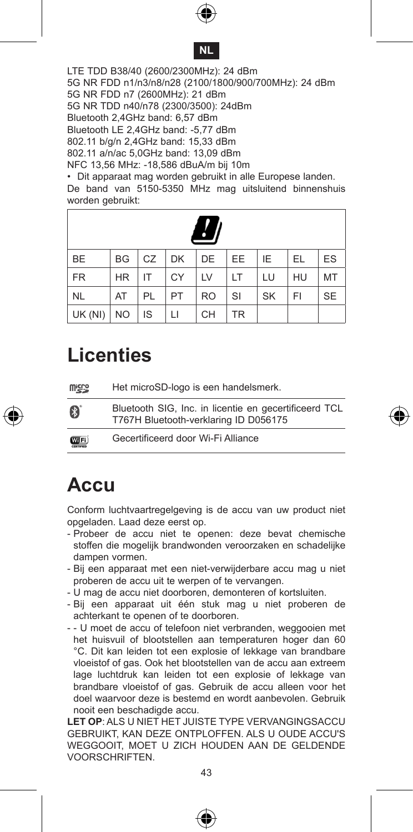



LTE TDD B38/40 (2600/2300MHz): 24 dBm 5G NR FDD n1/n3/n8/n28 (2100/1800/900/700MHz): 24 dBm 5G NR FDD n7 (2600MHz): 21 dBm 5G NR TDD n40/n78 (2300/3500): 24dBm Bluetooth 2,4GHz band: 6,57 dBm Bluetooth LE 2,4GHz band: -5,77 dBm 802.11 b/g/n 2,4GHz band: 15,33 dBm 802.11 a/n/ac 5,0GHz band: 13,09 dBm NFC 13,56 MHz: -18,586 dBuA/m bij 10m

• Dit apparaat mag worden gebruikt in alle Europese landen. De band van 5150-5350 MHz mag uitsluitend binnenshuis worden gebruikt:

| <b>BE</b>   |           |      |    | BG CZ DK DE EE |           | E         | <b>EL</b> | ES        |
|-------------|-----------|------|----|----------------|-----------|-----------|-----------|-----------|
| <b>FR</b>   | <b>HR</b> | IT   | CY | <b>LV</b>      | <b>LT</b> | LU        | HU        | MT        |
| NL.         | AT        | PL   | PT | <b>RO</b>      | SI        | <b>SK</b> | FI        | <b>SE</b> |
| $UK(NI)$ NO |           | l is | LI | CH             | <b>TR</b> |           |           |           |

#### **Licenties**

| <b>Wick</b> | Het microSD-logo is een handelsmerk.                                                           |
|-------------|------------------------------------------------------------------------------------------------|
| B           | Bluetooth SIG, Inc. in licentie en gecertificeerd TCL<br>T767H Bluetooth-verklaring ID D056175 |
| <b>WIFI</b> | Gecertificeerd door Wi-Fi Alliance                                                             |

#### **Accu**

Conform luchtvaartregelgeving is de accu van uw product niet opgeladen. Laad deze eerst op.

- Probeer de accu niet te openen: deze bevat chemische stoffen die mogelijk brandwonden veroorzaken en schadelijke dampen vormen.
- Bij een apparaat met een niet-verwijderbare accu mag u niet proberen de accu uit te werpen of te vervangen.
- U mag de accu niet doorboren, demonteren of kortsluiten.
- Bij een apparaat uit één stuk mag u niet proberen de achterkant te openen of te doorboren.
- - U moet de accu of telefoon niet verbranden, weggooien met het huisvuil of blootstellen aan temperaturen hoger dan 60 °C. Dit kan leiden tot een explosie of lekkage van brandbare vloeistof of gas. Ook het blootstellen van de accu aan extreem lage luchtdruk kan leiden tot een explosie of lekkage van brandbare vloeistof of gas. Gebruik de accu alleen voor het doel waarvoor deze is bestemd en wordt aanbevolen. Gebruik nooit een beschadigde accu.

**LET OP**: ALS U NIET HET JUISTE TYPE VERVANGINGSACCU GEBRUIKT, KAN DEZE ONTPLOFFEN. ALS U OUDE ACCU'S WEGGOOIT, MOET U ZICH HOUDEN AAN DE GELDENDE VOORSCHRIFTEN.





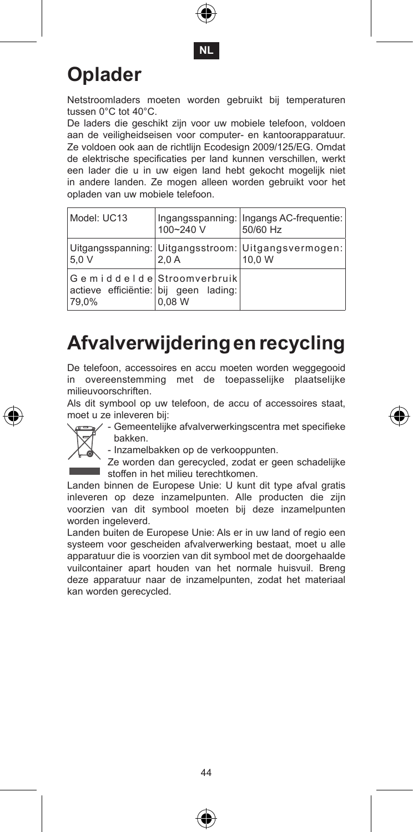



### **Oplader**

Netstroomladers moeten worden gebruikt bij temperaturen tussen 0°C tot 40°C.

De laders die geschikt zijn voor uw mobiele telefoon, voldoen aan de veiligheidseisen voor computer- en kantoorapparatuur. Ze voldoen ook aan de richtlijn Ecodesign 2009/125/EG. Omdat de elektrische specificaties per land kunnen verschillen, werkt een lader die u in uw eigen land hebt gekocht mogelijk niet in andere landen. Ze mogen alleen worden gebruikt voor het opladen van uw mobiele telefoon.

| Model: UC13                                                                 | 100~240 V | Ingangsspanning: Ingangs AC-frequentie:<br>50/60 Hz           |
|-----------------------------------------------------------------------------|-----------|---------------------------------------------------------------|
| 5.0 V                                                                       | 2.0A      | Uitgangsspanning: Uitgangsstroom: Uitgangsvermogen:<br>10.0 W |
| Gemiddelde Stroomverbruik<br>actieve efficiëntie: bij geen lading:<br>79.0% | 0.08 W    |                                                               |

### **Afvalverwijdering en recycling**

De telefoon, accessoires en accu moeten worden weggegooid in overeenstemming met de toepasselijke plaatselijke milieuvoorschriften.

Als dit symbool op uw telefoon, de accu of accessoires staat, moet u ze inleveren bij:



- Gemeentelijke afvalverwerkingscentra met specifieke ro bakken.

- Inzamelbakken op de verkooppunten. Ze worden dan gerecycled, zodat er geen schadelijke stoffen in het milieu terechtkomen.

Landen binnen de Europese Unie: U kunt dit type afval gratis inleveren op deze inzamelpunten. Alle producten die zijn voorzien van dit symbool moeten bij deze inzamelpunten worden ingeleverd.

Landen buiten de Europese Unie: Als er in uw land of regio een systeem voor gescheiden afvalverwerking bestaat, moet u alle apparatuur die is voorzien van dit symbool met de doorgehaalde vuilcontainer apart houden van het normale huisvuil. Breng deze apparatuur naar de inzamelpunten, zodat het materiaal kan worden gerecycled.



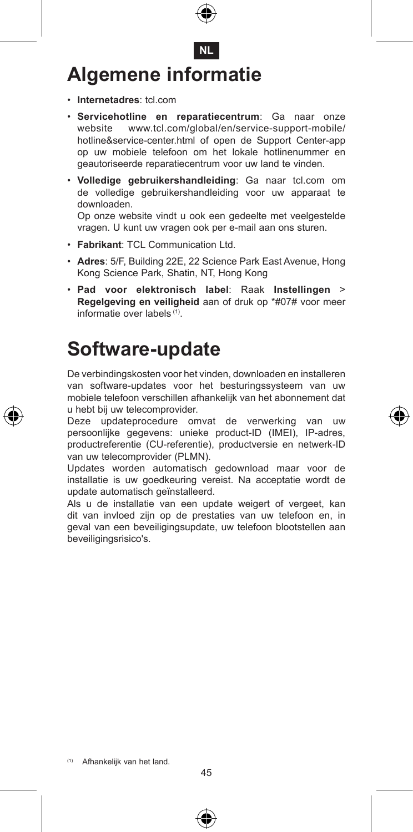# **Algemene informatie**

- • **Internetadres**: tcl.com
- • **Servicehotline en reparatiecentrum**: Ga naar onze website www.tcl.com/global/en/service-support-mobile/ hotline&service-center.html of open de Support Center-app op uw mobiele telefoon om het lokale hotlinenummer en geautoriseerde reparatiecentrum voor uw land te vinden.

**NL**

• **Volledige gebruikershandleiding**: Ga naar tcl.com om de volledige gebruikershandleiding voor uw apparaat te downloaden.

Op onze website vindt u ook een gedeelte met veelgestelde vragen. U kunt uw vragen ook per e-mail aan ons sturen.

- • **Fabrikant**: TCL Communication Ltd.
- • **Adres**: 5/F, Building 22E, 22 Science Park East Avenue, Hong Kong Science Park, Shatin, NT, Hong Kong
- • **Pad voor elektronisch label**: Raak **Instellingen** > **Regelgeving en veiligheid** aan of druk op \*#07# voor meer informatie over labels (1).

#### **Software-update**

De verbindingskosten voor het vinden, downloaden en installeren van software-updates voor het besturingssysteem van uw mobiele telefoon verschillen afhankelijk van het abonnement dat u hebt bij uw telecomprovider.

Deze updateprocedure omvat de verwerking van uw persoonlijke gegevens: unieke product-ID (IMEI), IP-adres, productreferentie (CU-referentie), productversie en netwerk-ID van uw telecomprovider (PLMN).

Updates worden automatisch gedownload maar voor de installatie is uw goedkeuring vereist. Na acceptatie wordt de update automatisch geïnstalleerd.

Als u de installatie van een update weigert of vergeet, kan dit van invloed zijn op de prestaties van uw telefoon en, in geval van een beveiligingsupdate, uw telefoon blootstellen aan beveiligingsrisico's.



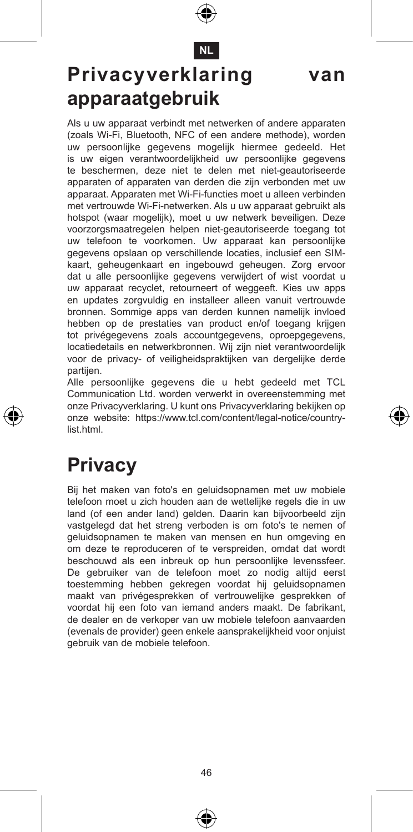**NL**

### **Privacyverklaring van apparaatgebruik**

Als u uw apparaat verbindt met netwerken of andere apparaten (zoals Wi-Fi, Bluetooth, NFC of een andere methode), worden uw persoonlijke gegevens mogelijk hiermee gedeeld. Het is uw eigen verantwoordelijkheid uw persoonlijke gegevens te beschermen, deze niet te delen met niet-geautoriseerde apparaten of apparaten van derden die zijn verbonden met uw apparaat. Apparaten met Wi-Fi-functies moet u alleen verbinden met vertrouwde Wi-Fi-netwerken. Als u uw apparaat gebruikt als hotspot (waar mogelijk), moet u uw netwerk beveiligen. Deze voorzorgsmaatregelen helpen niet-geautoriseerde toegang tot uw telefoon te voorkomen. Uw apparaat kan persoonlijke gegevens opslaan op verschillende locaties, inclusief een SIMkaart, geheugenkaart en ingebouwd geheugen. Zorg ervoor dat u alle persoonlijke gegevens verwijdert of wist voordat u uw apparaat recyclet, retourneert of weggeeft. Kies uw apps en updates zorgvuldig en installeer alleen vanuit vertrouwde bronnen. Sommige apps van derden kunnen namelijk invloed hebben op de prestaties van product en/of toegang krijgen tot privégegevens zoals accountgegevens, oproepgegevens, locatiedetails en netwerkbronnen. Wij zijn niet verantwoordelijk voor de privacy- of veiligheidspraktijken van dergelijke derde partijen.

Alle persoonlijke gegevens die u hebt gedeeld met TCL Communication Ltd. worden verwerkt in overeenstemming met onze Privacyverklaring. U kunt ons Privacyverklaring bekijken op onze website: https://www.tcl.com/content/legal-notice/countrylist.html.

### **Privacy**

Bij het maken van foto's en geluidsopnamen met uw mobiele telefoon moet u zich houden aan de wettelijke regels die in uw land (of een ander land) gelden. Daarin kan bijvoorbeeld zijn vastgelegd dat het streng verboden is om foto's te nemen of geluidsopnamen te maken van mensen en hun omgeving en om deze te reproduceren of te verspreiden, omdat dat wordt beschouwd als een inbreuk op hun persoonlijke levenssfeer. De gebruiker van de telefoon moet zo nodig altijd eerst toestemming hebben gekregen voordat hij geluidsopnamen maakt van privégesprekken of vertrouwelijke gesprekken of voordat hij een foto van iemand anders maakt. De fabrikant, de dealer en de verkoper van uw mobiele telefoon aanvaarden (evenals de provider) geen enkele aansprakelijkheid voor onjuist gebruik van de mobiele telefoon.



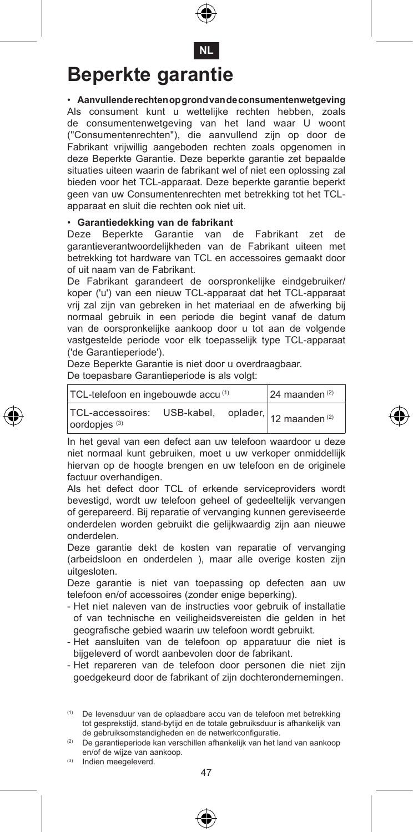

# **Beperkte garantie**

• **Aanvullende rechten op grond van de consumentenwetgeving** Als consument kunt u wettelijke rechten hebben, zoals de consumentenwetgeving van het land waar U woont ("Consumentenrechten"), die aanvullend zijn op door de Fabrikant vrijwillig aangeboden rechten zoals opgenomen in deze Beperkte Garantie. Deze beperkte garantie zet bepaalde situaties uiteen waarin de fabrikant wel of niet een oplossing zal bieden voor het TCL-apparaat. Deze beperkte garantie beperkt geen van uw Consumentenrechten met betrekking tot het TCLapparaat en sluit die rechten ook niet uit.

#### • **Garantiedekking van de fabrikant**

Deze Beperkte Garantie van de Fabrikant zet de garantieverantwoordelijkheden van de Fabrikant uiteen met betrekking tot hardware van TCL en accessoires gemaakt door of uit naam van de Fabrikant.

De Fabrikant garandeert de oorspronkelijke eindgebruiker/ koper ('u') van een nieuw TCL-apparaat dat het TCL-apparaat vrij zal zijn van gebreken in het materiaal en de afwerking bij normaal gebruik in een periode die begint vanaf de datum van de oorspronkelijke aankoop door u tot aan de volgende vastgestelde periode voor elk toepasselijk type TCL-apparaat ('de Garantieperiode').

Deze Beperkte Garantie is niet door u overdraagbaar.

De toepasbare Garantieperiode is als volgt:

| TCL-telefoon en ingebouwde accu(1)                                                         | $24$ maanden $(2)$ |
|--------------------------------------------------------------------------------------------|--------------------|
| TCL-accessoires: USB-kabel, oplader, 12 maanden <sup>(2)</sup><br>oordopjes <sup>(3)</sup> |                    |

In het geval van een defect aan uw telefoon waardoor u deze niet normaal kunt gebruiken, moet u uw verkoper onmiddellijk hiervan op de hoogte brengen en uw telefoon en de originele factuur overhandigen.

Als het defect door TCL of erkende serviceproviders wordt bevestigd, wordt uw telefoon geheel of gedeeltelijk vervangen of gerepareerd. Bij reparatie of vervanging kunnen gereviseerde onderdelen worden gebruikt die gelijkwaardig zijn aan nieuwe onderdelen.

Deze garantie dekt de kosten van reparatie of vervanging (arbeidsloon en onderdelen ), maar alle overige kosten zijn uitgesloten.

Deze garantie is niet van toepassing op defecten aan uw telefoon en/of accessoires (zonder enige beperking).

- Het niet naleven van de instructies voor gebruik of installatie of van technische en veiligheidsvereisten die gelden in het geografische gebied waarin uw telefoon wordt gebruikt.
- Het aansluiten van de telefoon op apparatuur die niet is bijgeleverd of wordt aanbevolen door de fabrikant.
- Het repareren van de telefoon door personen die niet zijn goedgekeurd door de fabrikant of zijn dochterondernemingen.

(1) De levensduur van de oplaadbare accu van de telefoon met betrekking tot gesprekstijd, stand-bytijd en de totale gebruiksduur is afhankelijk van de gebruiksomstandigheden en de netwerkconfiguratie.

(2) De garantieperiode kan verschillen afhankelijk van het land van aankoop en/of de wijze van aankoop.

(3) Indien meegeleverd.



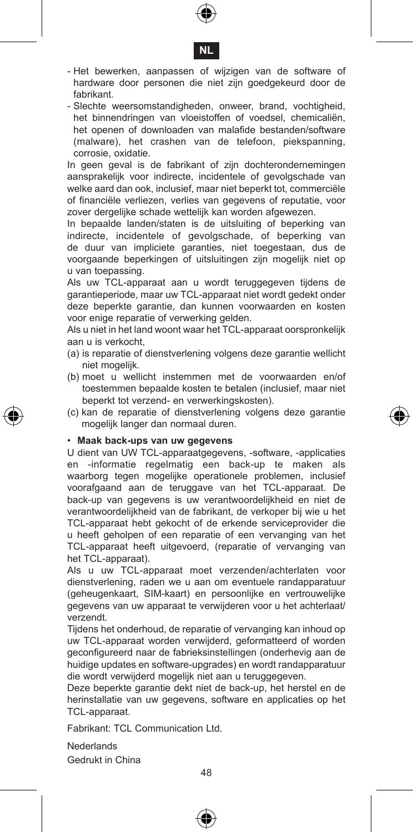



- Het bewerken, aanpassen of wijzigen van de software of hardware door personen die niet zijn goedgekeurd door de fabrikant.
- Slechte weersomstandigheden, onweer, brand, vochtigheid, het binnendringen van vloeistoffen of voedsel, chemicaliën, het openen of downloaden van malafide bestanden/software (malware), het crashen van de telefoon, piekspanning, corrosie, oxidatie.

In geen geval is de fabrikant of zijn dochterondernemingen aansprakelijk voor indirecte, incidentele of gevolgschade van welke aard dan ook, inclusief, maar niet beperkt tot, commerciële of financiële verliezen, verlies van gegevens of reputatie, voor zover dergelijke schade wettelijk kan worden afgewezen.

In bepaalde landen/staten is de uitsluiting of beperking van indirecte, incidentele of gevolgschade, of beperking van de duur van impliciete garanties, niet toegestaan, dus de voorgaande beperkingen of uitsluitingen zijn mogelijk niet op u van toepassing.

Als uw TCL-apparaat aan u wordt teruggegeven tijdens de garantieperiode, maar uw TCL-apparaat niet wordt gedekt onder deze beperkte garantie, dan kunnen voorwaarden en kosten voor enige reparatie of verwerking gelden.

Als u niet in het land woont waar het TCL-apparaat oorspronkelijk aan u is verkocht,

- (a) is reparatie of dienstverlening volgens deze garantie wellicht niet mogelijk.
- (b) moet u wellicht instemmen met de voorwaarden en/of toestemmen bepaalde kosten te betalen (inclusief, maar niet beperkt tot verzend- en verwerkingskosten).
- (c) kan de reparatie of dienstverlening volgens deze garantie mogelijk langer dan normaal duren.

#### • **Maak back-ups van uw gegevens**

U dient van UW TCL-apparaatgegevens, -software, -applicaties en -informatie regelmatig een back-up te maken als waarborg tegen mogelijke operationele problemen, inclusief voorafgaand aan de teruggave van het TCL-apparaat. De back-up van gegevens is uw verantwoordelijkheid en niet de verantwoordelijkheid van de fabrikant, de verkoper bij wie u het TCL-apparaat hebt gekocht of de erkende serviceprovider die u heeft geholpen of een reparatie of een vervanging van het TCL-apparaat heeft uitgevoerd, (reparatie of vervanging van het TCL-apparaat).

Als u uw TCL-apparaat moet verzenden/achterlaten voor dienstverlening, raden we u aan om eventuele randapparatuur (geheugenkaart, SIM-kaart) en persoonlijke en vertrouwelijke gegevens van uw apparaat te verwijderen voor u het achterlaat/ verzendt.

Tijdens het onderhoud, de reparatie of vervanging kan inhoud op uw TCL-apparaat worden verwijderd, geformatteerd of worden geconfigureerd naar de fabrieksinstellingen (onderhevig aan de huidige updates en software-upgrades) en wordt randapparatuur die wordt verwijderd mogelijk niet aan u teruggegeven.

Deze beperkte garantie dekt niet de back-up, het herstel en de herinstallatie van uw gegevens, software en applicaties op het TCL-apparaat.

Fabrikant: TCL Communication Ltd.

Nederlands

Gedrukt in China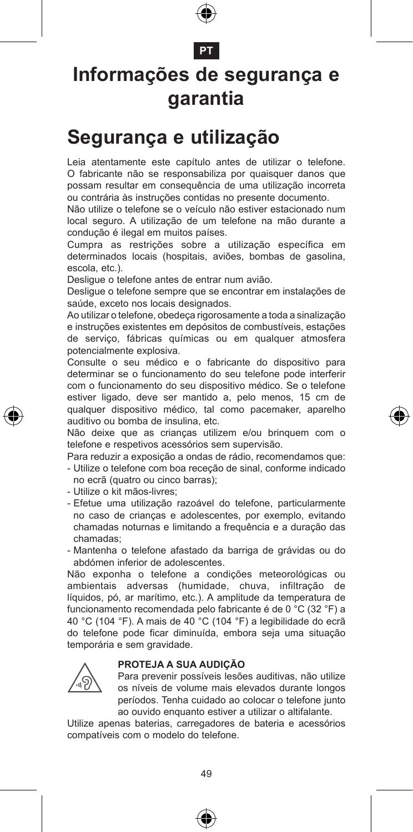

#### **PT**

#### **Informações de segurança e garantia**

#### **Segurança e utilização**

Leia atentamente este capítulo antes de utilizar o telefone. O fabricante não se responsabiliza por quaisquer danos que possam resultar em consequência de uma utilização incorreta ou contrária às instruções contidas no presente documento.

Não utilize o telefone se o veículo não estiver estacionado num local seguro. A utilização de um telefone na mão durante a condução é ilegal em muitos países.

Cumpra as restrições sobre a utilização específica em determinados locais (hospitais, aviões, bombas de gasolina, escola, etc.).

Desligue o telefone antes de entrar num avião.

Desligue o telefone sempre que se encontrar em instalações de saúde, exceto nos locais designados.

Ao utilizar o telefone, obedeça rigorosamente a toda a sinalização e instruções existentes em depósitos de combustíveis, estações de serviço, fábricas químicas ou em qualquer atmosfera potencialmente explosiva.

Consulte o seu médico e o fabricante do dispositivo para determinar se o funcionamento do seu telefone pode interferir com o funcionamento do seu dispositivo médico. Se o telefone estiver ligado, deve ser mantido a, pelo menos, 15 cm de qualquer dispositivo médico, tal como pacemaker, aparelho auditivo ou bomba de insulina, etc.

Não deixe que as crianças utilizem e/ou brinquem com o telefone e respetivos acessórios sem supervisão.

Para reduzir a exposição a ondas de rádio, recomendamos que: - Utilize o telefone com boa receção de sinal, conforme indicado no ecrã (quatro ou cinco barras);

- Utilize o kit mãos-livres;
- Efetue uma utilização razoável do telefone, particularmente no caso de crianças e adolescentes, por exemplo, evitando chamadas noturnas e limitando a frequência e a duração das chamadas;
- Mantenha o telefone afastado da barriga de grávidas ou do abdómen inferior de adolescentes.

Não exponha o telefone a condições meteorológicas ou ambientais adversas (humidade, chuva, infiltração de líquidos, pó, ar marítimo, etc.). A amplitude da temperatura de funcionamento recomendada pelo fabricante é de 0 °C (32 °F) a 40 °C (104 °F). A mais de 40 °C (104 °F) a legibilidade do ecrã do telefone pode ficar diminuída, embora seja uma situação temporária e sem gravidade.

#### **PROTEJA A SUA AUDIÇÃO**



 Para prevenir possíveis lesões auditivas, não utilize os níveis de volume mais elevados durante longos períodos. Tenha cuidado ao colocar o telefone junto ao ouvido enquanto estiver a utilizar o altifalante.

Utilize apenas baterias, carregadores de bateria e acessórios compatíveis com o modelo do telefone.



€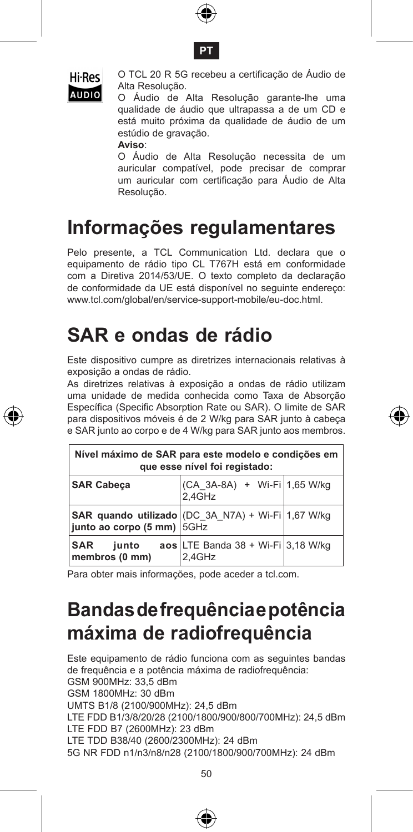





 O TCL 20 R 5G recebeu a certificação de Áudio de Alta Resolução.

AUDIO Alta Resolução.<br>AUDIO O Áudio de Alta Resolução garante-lhe uma qualidade de áudio que ultrapassa a de um CD e está muito próxima da qualidade de áudio de um estúdio de gravação.

**Aviso**:

 O Áudio de Alta Resolução necessita de um auricular compatível, pode precisar de comprar um auricular com certificação para Áudio de Alta Resolução.

#### **Informações regulamentares**

Pelo presente, a TCL Communication Ltd. declara que o equipamento de rádio tipo CL T767H está em conformidade com a Diretiva 2014/53/UE. O texto completo da declaração de conformidade da UE está disponível no seguinte endereço: www.tcl.com/global/en/service-support-mobile/eu-doc.html.

#### **SAR e ondas de rádio**

Este dispositivo cumpre as diretrizes internacionais relativas à exposição a ondas de rádio.

As diretrizes relativas à exposição a ondas de rádio utilizam uma unidade de medida conhecida como Taxa de Absorção Específica (Specific Absorption Rate ou SAR). O limite de SAR para dispositivos móveis é de 2 W/kg para SAR junto à cabeça e SAR junto ao corpo e de 4 W/kg para SAR junto aos membros.

| Nível máximo de SAR para este modelo e condições em<br>que esse nível foi registado: |                                                               |  |  |  |  |
|--------------------------------------------------------------------------------------|---------------------------------------------------------------|--|--|--|--|
| <b>SAR Cabeca</b>                                                                    | (CA 3A-8A) + Wi-Fi 1,65 W/kg<br>2.4GHz                        |  |  |  |  |
| SAR quando utilizado (DC 3A N7A) + Wi-Fi 1,67 W/kg<br>junto ao corpo (5 mm) 5GHz     |                                                               |  |  |  |  |
| <b>SAR</b><br>junto<br>membros (0 mm)                                                | $\texttt{aos}$ LTE Banda 38 + Wi-Fi $ 3,18$ W/kg<br>$2.4$ GHz |  |  |  |  |

Para obter mais informações, pode aceder a tcl.com.

### **Bandas de frequência e potência máxima de radiofrequência**

Este equipamento de rádio funciona com as seguintes bandas de frequência e a potência máxima de radiofrequência: GSM 900MHz: 33,5 dBm GSM 1800MHz: 30 dBm UMTS B1/8 (2100/900MHz): 24,5 dBm LTE FDD B1/3/8/20/28 (2100/1800/900/800/700MHz): 24,5 dBm LTE FDD B7 (2600MHz): 23 dBm LTE TDD B38/40 (2600/2300MHz): 24 dBm 5G NR FDD n1/n3/n8/n28 (2100/1800/900/700MHz): 24 dBm



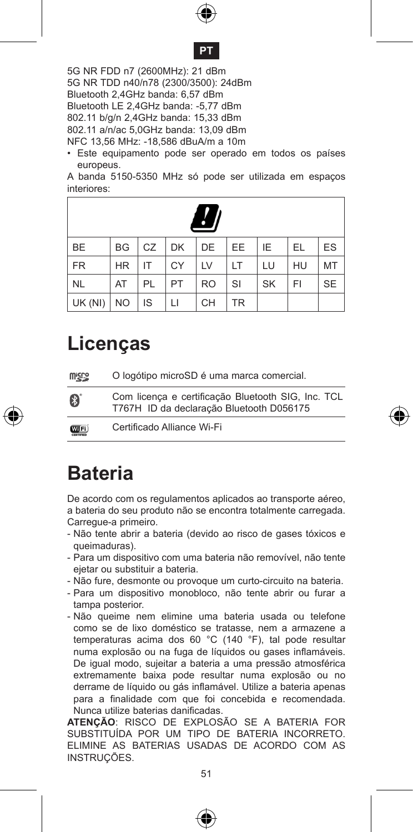#### **PT**

5G NR FDD n7 (2600MHz): 21 dBm 5G NR TDD n40/n78 (2300/3500): 24dBm Bluetooth 2,4GHz banda: 6,57 dBm Bluetooth LE 2,4GHz banda: -5,77 dBm 802.11 b/g/n 2,4GHz banda: 15,33 dBm 802.11 a/n/ac 5,0GHz banda: 13,09 dBm NFC 13,56 MHz: -18,586 dBuA/m a 10m

• Este equipamento pode ser operado em todos os países europeus.

A banda 5150-5350 MHz só pode ser utilizada em espaços interiores:

| Ħ         |           |    |           |           |           |           |    |           |
|-----------|-----------|----|-----------|-----------|-----------|-----------|----|-----------|
| <b>BE</b> | <b>BG</b> | CZ | <b>DK</b> | DE        | EE.       | IE        | EL | ES        |
| <b>FR</b> | <b>HR</b> | IT | CY        | LV        | LT        | LU        | HU | MT        |
| <b>NL</b> | AT        | PL | PT        | <b>RO</b> | SI        | <b>SK</b> | FI | <b>SE</b> |
| UK (NI)   | <b>NO</b> | IS | П         | CH        | <b>TR</b> |           |    |           |

### **Licenças**

| <b>Wicco</b> | O logótipo microSD é uma marca comercial.                                                      |
|--------------|------------------------------------------------------------------------------------------------|
| B            | Com licença e certificação Bluetooth SIG, Inc. TCL<br>T767H ID da declaração Bluetooth D056175 |
| <b>WIFI</b>  | Certificado Alliance Wi-Fi                                                                     |

#### **Bateria**

De acordo com os regulamentos aplicados ao transporte aéreo, a bateria do seu produto não se encontra totalmente carregada. Carregue-a primeiro.

- Não tente abrir a bateria (devido ao risco de gases tóxicos e queimaduras).
- Para um dispositivo com uma bateria não removível, não tente ejetar ou substituir a bateria.
- Não fure, desmonte ou provoque um curto-circuito na bateria.
- Para um dispositivo monobloco, não tente abrir ou furar a tampa posterior.
- Não queime nem elimine uma bateria usada ou telefone como se de lixo doméstico se tratasse, nem a armazene a temperaturas acima dos 60 °C (140 °F), tal pode resultar numa explosão ou na fuga de líquidos ou gases inflamáveis. De igual modo, sujeitar a bateria a uma pressão atmosférica extremamente baixa pode resultar numa explosão ou no derrame de líquido ou gás inflamável. Utilize a bateria apenas para a finalidade com que foi concebida e recomendada. Nunca utilize baterias danificadas.

**ATENÇÃO**: RISCO DE EXPLOSÃO SE A BATERIA FOR SUBSTITUÍDA POR UM TIPO DE BATERIA INCORRETO. ELIMINE AS BATERIAS USADAS DE ACORDO COM AS INSTRUÇÕES.



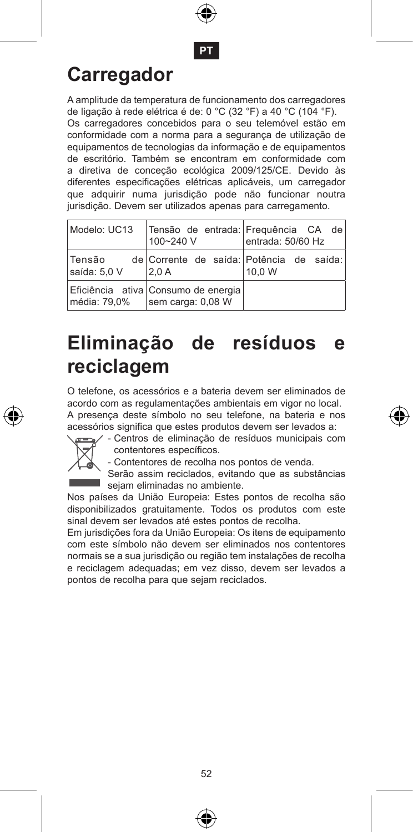**PT**

### **Carregador**

A amplitude da temperatura de funcionamento dos carregadores de ligação à rede elétrica é de: 0 °C (32 °F) a 40 °C (104 °F).

Os carregadores concebidos para o seu telemóvel estão em conformidade com a norma para a segurança de utilização de equipamentos de tecnologias da informação e de equipamentos de escritório. Também se encontram em conformidade com a diretiva de conceção ecológica 2009/125/CE. Devido às diferentes especificações elétricas aplicáveis, um carregador que adquirir numa jurisdição pode não funcionar noutra jurisdição. Devem ser utilizados apenas para carregamento.

| Modelo: UC13            | 100~240 V                                                | Tensão de entrada: Frequência CA de<br>entrada: 50/60 Hz |
|-------------------------|----------------------------------------------------------|----------------------------------------------------------|
| lTensão<br>saída: 5.0 V | 2.0A                                                     | de Corrente de saída: Potência de saída:<br>10.0 W       |
| média: 79,0%            | Eficiência ativa Consumo de energia<br>sem carga: 0,08 W |                                                          |

### **Eliminação de resíduos e reciclagem**

O telefone, os acessórios e a bateria devem ser eliminados de acordo com as regulamentações ambientais em vigor no local. A presença deste símbolo no seu telefone, na bateria e nos acessórios significa que estes produtos devem ser levados a:



- Centros de eliminação de resíduos municipais com contentores específicos.

- Contentores de recolha nos pontos de venda.

Serão assim reciclados, evitando que as substâncias sejam eliminadas no ambiente.

Nos países da União Europeia: Estes pontos de recolha são disponibilizados gratuitamente. Todos os produtos com este sinal devem ser levados até estes pontos de recolha.

Em jurisdições fora da União Europeia: Os itens de equipamento com este símbolo não devem ser eliminados nos contentores normais se a sua jurisdição ou região tem instalações de recolha e reciclagem adequadas; em vez disso, devem ser levados a pontos de recolha para que sejam reciclados.



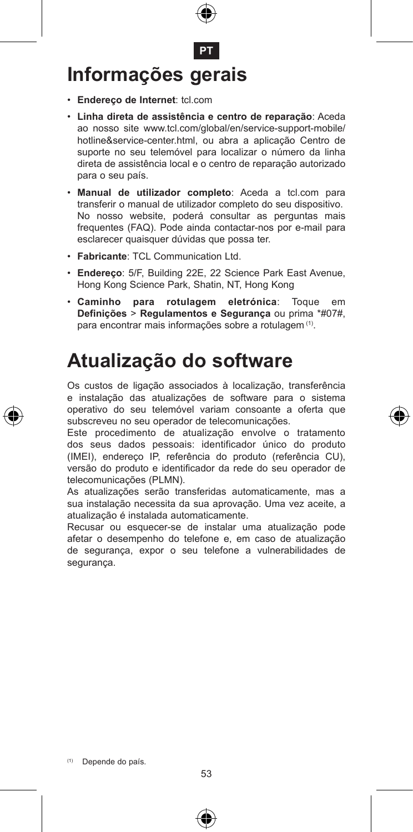

- • **Endereço de Internet**: tcl.com
- • **Linha direta de assistência e centro de reparação**: Aceda ao nosso site www.tcl.com/global/en/service-support-mobile/ hotline&service-center.html, ou abra a aplicação Centro de suporte no seu telemóvel para localizar o número da linha direta de assistência local e o centro de reparação autorizado para o seu país.
- • **Manual de utilizador completo**: Aceda a tcl.com para transferir o manual de utilizador completo do seu dispositivo. No nosso website, poderá consultar as perguntas mais frequentes (FAQ). Pode ainda contactar-nos por e-mail para esclarecer quaisquer dúvidas que possa ter.
- • **Fabricante**: TCL Communication Ltd.
- • **Endereço**: 5/F, Building 22E, 22 Science Park East Avenue, Hong Kong Science Park, Shatin, NT, Hong Kong
- • **Caminho para rotulagem eletrónica**: Toque em **Definições** > **Regulamentos e Segurança** ou prima \*#07#, para encontrar mais informações sobre a rotulagem (1).

#### **Atualização do software**

Os custos de ligação associados à localização, transferência e instalação das atualizações de software para o sistema operativo do seu telemóvel variam consoante a oferta que subscreveu no seu operador de telecomunicações.

Este procedimento de atualização envolve o tratamento dos seus dados pessoais: identificador único do produto (IMEI), endereço IP, referência do produto (referência CU), versão do produto e identificador da rede do seu operador de telecomunicações (PLMN).

As atualizações serão transferidas automaticamente, mas a sua instalação necessita da sua aprovação. Uma vez aceite, a atualização é instalada automaticamente.

Recusar ou esquecer-se de instalar uma atualização pode afetar o desempenho do telefone e, em caso de atualização de segurança, expor o seu telefone a vulnerabilidades de segurança.



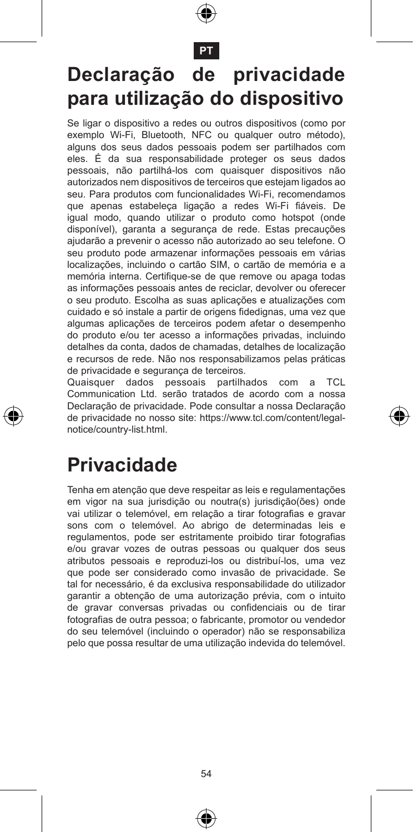

**PT**

# **Declaração de privacidade para utilização do dispositivo**

Se ligar o dispositivo a redes ou outros dispositivos (como por exemplo Wi-Fi, Bluetooth, NFC ou qualquer outro método), alguns dos seus dados pessoais podem ser partilhados com eles. É da sua responsabilidade proteger os seus dados pessoais, não partilhá-los com quaisquer dispositivos não autorizados nem dispositivos de terceiros que estejam ligados ao seu. Para produtos com funcionalidades Wi-Fi, recomendamos que apenas estabeleça ligação a redes Wi-Fi fiáveis. De igual modo, quando utilizar o produto como hotspot (onde disponível), garanta a segurança de rede. Estas precauções ajudarão a prevenir o acesso não autorizado ao seu telefone. O seu produto pode armazenar informações pessoais em várias localizações, incluindo o cartão SIM, o cartão de memória e a memória interna. Certifique-se de que remove ou apaga todas as informações pessoais antes de reciclar, devolver ou oferecer o seu produto. Escolha as suas aplicações e atualizações com cuidado e só instale a partir de origens fidedignas, uma vez que algumas aplicações de terceiros podem afetar o desempenho do produto e/ou ter acesso a informações privadas, incluindo detalhes da conta, dados de chamadas, detalhes de localização e recursos de rede. Não nos responsabilizamos pelas práticas de privacidade e segurança de terceiros.

Quaisquer dados pessoais partilhados com a TCL Communication Ltd. serão tratados de acordo com a nossa Declaração de privacidade. Pode consultar a nossa Declaração de privacidade no nosso site: https://www.tcl.com/content/legalnotice/country-list.html.

#### **Privacidade**

Tenha em atenção que deve respeitar as leis e regulamentações em vigor na sua jurisdição ou noutra(s) jurisdição(ões) onde vai utilizar o telemóvel, em relação a tirar fotografias e gravar sons com o telemóvel. Ao abrigo de determinadas leis e regulamentos, pode ser estritamente proibido tirar fotografias e/ou gravar vozes de outras pessoas ou qualquer dos seus atributos pessoais e reproduzi-los ou distribuí-los, uma vez que pode ser considerado como invasão de privacidade. Se tal for necessário, é da exclusiva responsabilidade do utilizador garantir a obtenção de uma autorização prévia, com o intuito de gravar conversas privadas ou confidenciais ou de tirar fotografias de outra pessoa; o fabricante, promotor ou vendedor do seu telemóvel (incluindo o operador) não se responsabiliza pelo que possa resultar de uma utilização indevida do telemóvel.



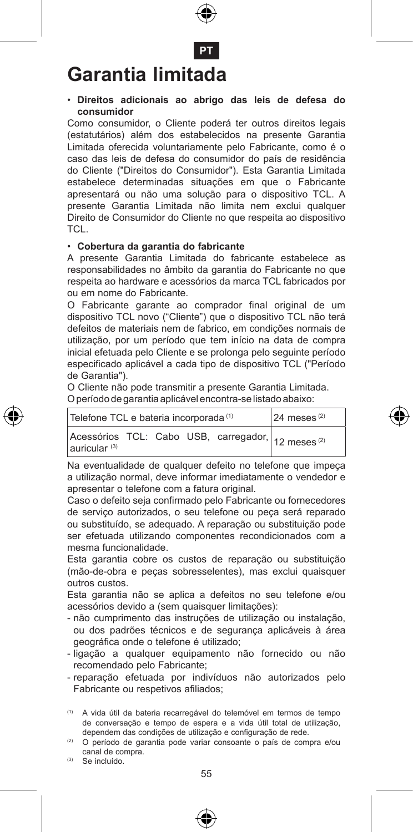

### **Garantia limitada**

#### • **Direitos adicionais ao abrigo das leis de defesa do consumidor**

Como consumidor, o Cliente poderá ter outros direitos legais (estatutários) além dos estabelecidos na presente Garantia Limitada oferecida voluntariamente pelo Fabricante, como é o caso das leis de defesa do consumidor do país de residência do Cliente ("Direitos do Consumidor"). Esta Garantia Limitada estabelece determinadas situações em que o Fabricante apresentará ou não uma solução para o dispositivo TCL. A presente Garantia Limitada não limita nem exclui qualquer Direito de Consumidor do Cliente no que respeita ao dispositivo TCL.

#### • **Cobertura da garantia do fabricante**

A presente Garantia Limitada do fabricante estabelece as responsabilidades no âmbito da garantia do Fabricante no que respeita ao hardware e acessórios da marca TCL fabricados por ou em nome do Fabricante.

O Fabricante garante ao comprador final original de um dispositivo TCL novo ("Cliente") que o dispositivo TCL não terá defeitos de materiais nem de fabrico, em condições normais de utilização, por um período que tem início na data de compra inicial efetuada pelo Cliente e se prolonga pelo seguinte período especificado aplicável a cada tipo de dispositivo TCL ("Período de Garantia").

O Cliente não pode transmitir a presente Garantia Limitada. O período de garantia aplicável encontra-se listado abaixo:

| Telefone TCL e bateria incorporada <sup>(1)</sup> |  |  |  |  | $24$ meses <sup>(2)</sup>                                     |
|---------------------------------------------------|--|--|--|--|---------------------------------------------------------------|
| auricular <sup>(3)</sup>                          |  |  |  |  | Acessórios TCL: Cabo USB, carregador, 12 meses <sup>(2)</sup> |

Na eventualidade de qualquer defeito no telefone que impeca a utilização normal, deve informar imediatamente o vendedor e apresentar o telefone com a fatura original.

Caso o defeito seja confirmado pelo Fabricante ou fornecedores de serviço autorizados, o seu telefone ou peça será reparado ou substituído, se adequado. A reparação ou substituição pode ser efetuada utilizando componentes recondicionados com a mesma funcionalidade.

Esta garantia cobre os custos de reparação ou substituição (mão-de-obra e peças sobresselentes), mas exclui quaisquer outros custos.

Esta garantia não se aplica a defeitos no seu telefone e/ou acessórios devido a (sem quaisquer limitações):

- não cumprimento das instruções de utilização ou instalação, ou dos padrões técnicos e de segurança aplicáveis à área geográfica onde o telefone é utilizado;
- ligação a qualquer equipamento não fornecido ou não recomendado pelo Fabricante;
- reparação efetuada por indivíduos não autorizados pelo Fabricante ou respetivos afiliados;
- (1) A vida útil da bateria recarregável do telemóvel em termos de tempo de conversação e tempo de espera e a vida útil total de utilização, dependem das condições de utilização e configuração de rede.

(2) O período de garantia pode variar consoante o país de compra e/ou canal de compra.

(3) Se incluído.



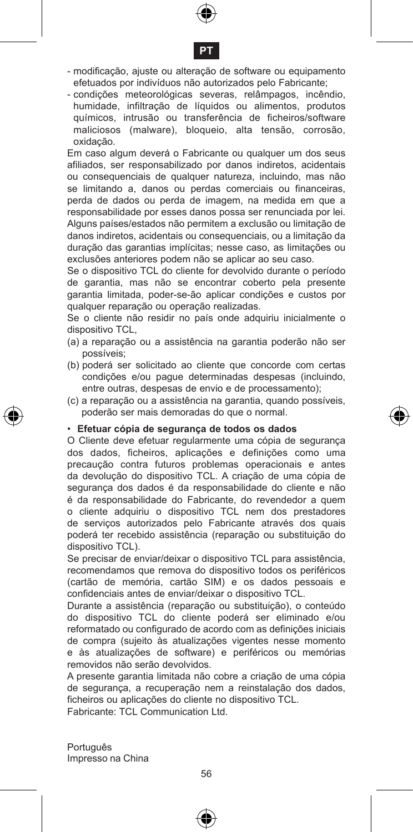



- modificação, ajuste ou alteração de software ou equipamento efetuados por indivíduos não autorizados pelo Fabricante;
- condições meteorológicas severas, relâmpagos, incêndio, humidade, infiltração de líquidos ou alimentos, produtos químicos, intrusão ou transferência de ficheiros/software maliciosos (malware), bloqueio, alta tensão, corrosão, oxidação.

Em caso algum deverá o Fabricante ou qualquer um dos seus afiliados, ser responsabilizado por danos indiretos, acidentais ou consequenciais de qualquer natureza, incluindo, mas não se limitando a, danos ou perdas comerciais ou financeiras, perda de dados ou perda de imagem, na medida em que a responsabilidade por esses danos possa ser renunciada por lei. Alguns países/estados não permitem a exclusão ou limitação de danos indiretos, acidentais ou consequenciais, ou a limitação da duração das garantias implícitas; nesse caso, as limitações ou exclusões anteriores podem não se aplicar ao seu caso.

Se o dispositivo TCL do cliente for devolvido durante o período de garantia, mas não se encontrar coberto pela presente garantia limitada, poder-se-ão aplicar condições e custos por qualquer reparação ou operação realizadas.

Se o cliente não residir no país onde adquiriu inicialmente o dispositivo TCL,

- (a) a reparação ou a assistência na garantia poderão não ser possíveis;
- (b) poderá ser solicitado ao cliente que concorde com certas condições e/ou pague determinadas despesas (incluindo, entre outras, despesas de envio e de processamento);
- (c) a reparação ou a assistência na garantia, quando possíveis, poderão ser mais demoradas do que o normal.

#### • **Efetuar cópia de segurança de todos os dados**

O Cliente deve efetuar regularmente uma cópia de segurança dos dados, ficheiros, aplicações e definições como uma precaução contra futuros problemas operacionais e antes da devolução do dispositivo TCL. A criação de uma cópia de segurança dos dados é da responsabilidade do cliente e não é da responsabilidade do Fabricante, do revendedor a quem o cliente adquiriu o dispositivo TCL nem dos prestadores de serviços autorizados pelo Fabricante através dos quais poderá ter recebido assistência (reparação ou substituição do dispositivo TCL).

Se precisar de enviar/deixar o dispositivo TCL para assistência, recomendamos que remova do dispositivo todos os periféricos (cartão de memória, cartão SIM) e os dados pessoais e confidenciais antes de enviar/deixar o dispositivo TCL.

Durante a assistência (reparação ou substituição), o conteúdo do dispositivo TCL do cliente poderá ser eliminado e/ou reformatado ou configurado de acordo com as definições iniciais de compra (sujeito às atualizações vigentes nesse momento e às atualizações de software) e periféricos ou memórias removidos não serão devolvidos.

A presente garantia limitada não cobre a criação de uma cópia de segurança, a recuperação nem a reinstalação dos dados, ficheiros ou aplicações do cliente no dispositivo TCL. Fabricante: TCL Communication Ltd.

Português Impresso na China